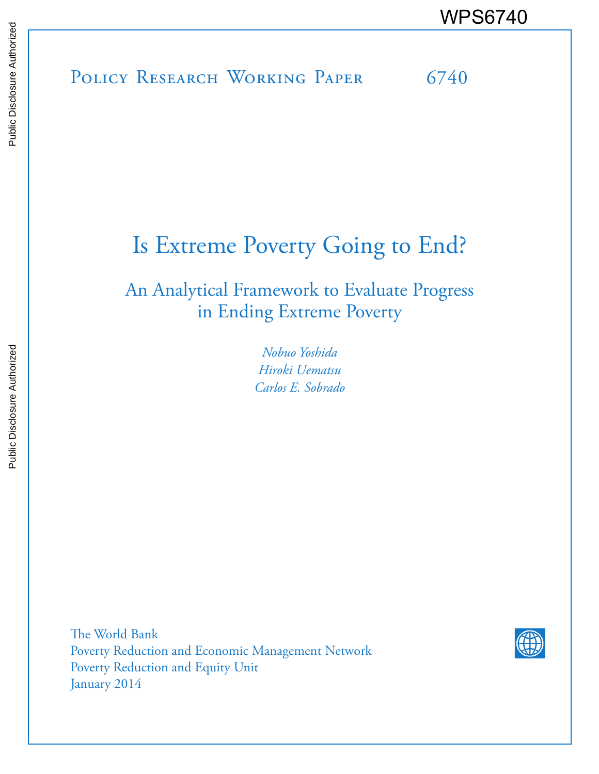POLICY RESEARCH WORKING PAPER 6740 WPS6740<br>
POLICY RESEARCH WORKING PAPER
FOLICY RESEARCH WORKING PAPER
FORM 0740

# Is Extreme Poverty Going to End?

An Analytical Framework to Evaluate Progress in Ending Extreme Poverty

> *Nobuo Yoshida Hiroki Uematsu Carlos E. Sobrado*

The World Bank Poverty Reduction and Economic Management Network Poverty Reduction and Equity Unit January 2014

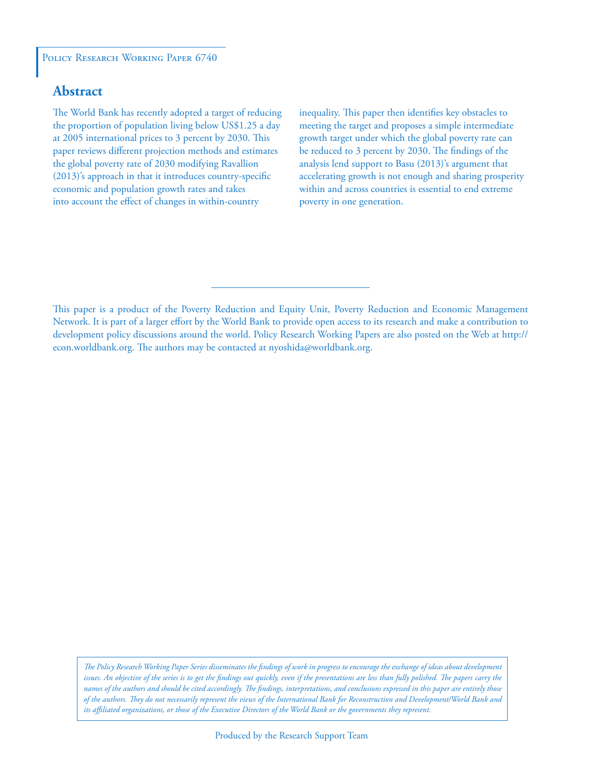#### POLICY RESEARCH WORKING PAPER 6740

# **Abstract**

The World Bank has recently adopted a target of reducing the proportion of population living below US\$1.25 a day at 2005 international prices to 3 percent by 2030. This paper reviews different projection methods and estimates the global poverty rate of 2030 modifying Ravallion (2013)'s approach in that it introduces country-specific economic and population growth rates and takes into account the effect of changes in within-country

inequality. This paper then identifies key obstacles to meeting the target and proposes a simple intermediate growth target under which the global poverty rate can be reduced to 3 percent by 2030. The findings of the analysis lend support to Basu (2013)'s argument that accelerating growth is not enough and sharing prosperity within and across countries is essential to end extreme poverty in one generation.

This paper is a product of the Poverty Reduction and Equity Unit, Poverty Reduction and Economic Management Network. It is part of a larger effort by the World Bank to provide open access to its research and make a contribution to development policy discussions around the world. Policy Research Working Papers are also posted on the Web at http:// econ.worldbank.org. The authors may be contacted at nyoshida@worldbank.org.

*The Policy Research Working Paper Series disseminates the findings of work in progress to encourage the exchange of ideas about development*  issues. An objective of the series is to get the findings out quickly, even if the presentations are less than fully polished. The papers carry the *names of the authors and should be cited accordingly. The findings, interpretations, and conclusions expressed in this paper are entirely those of the authors. They do not necessarily represent the views of the International Bank for Reconstruction and Development/World Bank and its affiliated organizations, or those of the Executive Directors of the World Bank or the governments they represent.*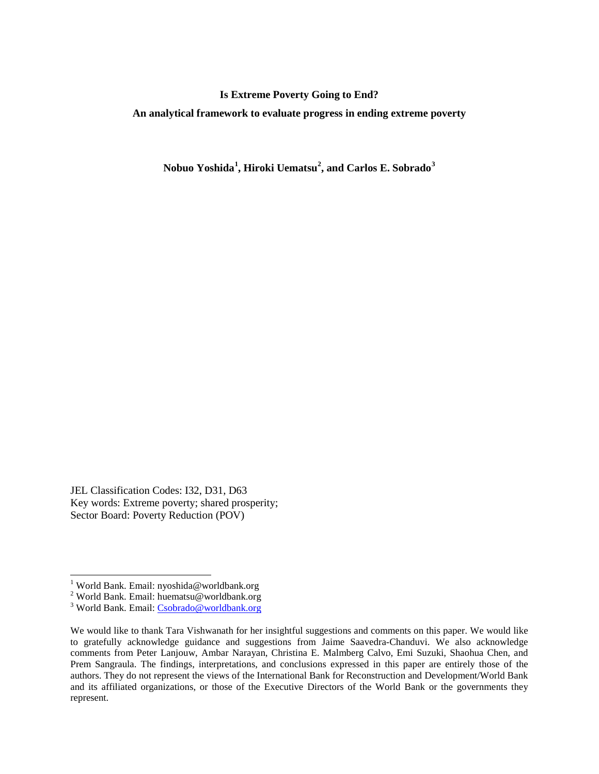#### **Is Extreme Poverty Going to End?**

**An analytical framework to evaluate progress in ending extreme poverty** 

**Nobuo Yoshida[1](#page-2-0) , Hiroki Uematsu[2](#page-2-1) , and Carlos E. Sobrado[3](#page-2-2)**

JEL Classification Codes: I32, D31, D63 Key words: Extreme poverty; shared prosperity; Sector Board: Poverty Reduction (POV)

 $\overline{a}$ 

<sup>&</sup>lt;sup>1</sup> World Bank. Email: nyoshida@worldbank.org

<span id="page-2-1"></span><span id="page-2-0"></span><sup>&</sup>lt;sup>2</sup> World Bank. Email: huematsu@worldbank.org <sup>3</sup> World Bank. Email: [Csobrado@worldbank.org](mailto:Csobrado@worldbank.org)

<span id="page-2-2"></span>

We would like to thank Tara Vishwanath for her insightful suggestions and comments on this paper. We would like to gratefully acknowledge guidance and suggestions from Jaime Saavedra-Chanduvi. We also acknowledge comments from Peter Lanjouw, Ambar Narayan, Christina E. Malmberg Calvo, Emi Suzuki, Shaohua Chen, and Prem Sangraula. The findings, interpretations, and conclusions expressed in this paper are entirely those of the authors. They do not represent the views of the International Bank for Reconstruction and Development/World Bank and its affiliated organizations, or those of the Executive Directors of the World Bank or the governments they represent.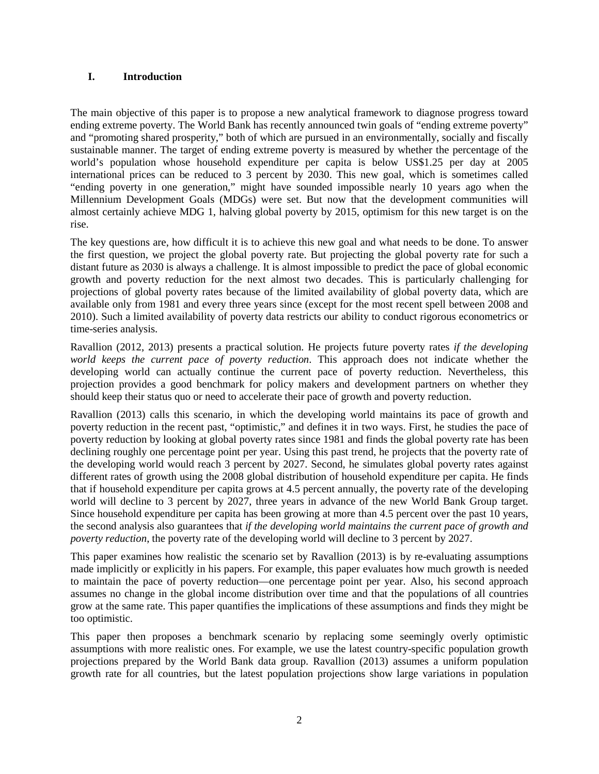#### **I. Introduction**

The main objective of this paper is to propose a new analytical framework to diagnose progress toward ending extreme poverty. The World Bank has recently announced twin goals of "ending extreme poverty" and "promoting shared prosperity," both of which are pursued in an environmentally, socially and fiscally sustainable manner. The target of ending extreme poverty is measured by whether the percentage of the world's population whose household expenditure per capita is below US\$1.25 per day at 2005 international prices can be reduced to 3 percent by 2030. This new goal, which is sometimes called "ending poverty in one generation," might have sounded impossible nearly 10 years ago when the Millennium Development Goals (MDGs) were set. But now that the development communities will almost certainly achieve MDG 1, halving global poverty by 2015, optimism for this new target is on the rise.

The key questions are, how difficult it is to achieve this new goal and what needs to be done. To answer the first question, we project the global poverty rate. But projecting the global poverty rate for such a distant future as 2030 is always a challenge. It is almost impossible to predict the pace of global economic growth and poverty reduction for the next almost two decades. This is particularly challenging for projections of global poverty rates because of the limited availability of global poverty data, which are available only from 1981 and every three years since (except for the most recent spell between 2008 and 2010). Such a limited availability of poverty data restricts our ability to conduct rigorous econometrics or time-series analysis.

Ravallion (2012, 2013) presents a practical solution. He projects future poverty rates *if the developing world keeps the current pace of poverty reduction*. This approach does not indicate whether the developing world can actually continue the current pace of poverty reduction. Nevertheless, this projection provides a good benchmark for policy makers and development partners on whether they should keep their status quo or need to accelerate their pace of growth and poverty reduction.

Ravallion (2013) calls this scenario, in which the developing world maintains its pace of growth and poverty reduction in the recent past, "optimistic," and defines it in two ways. First, he studies the pace of poverty reduction by looking at global poverty rates since 1981 and finds the global poverty rate has been declining roughly one percentage point per year. Using this past trend, he projects that the poverty rate of the developing world would reach 3 percent by 2027. Second, he simulates global poverty rates against different rates of growth using the 2008 global distribution of household expenditure per capita. He finds that if household expenditure per capita grows at 4.5 percent annually, the poverty rate of the developing world will decline to 3 percent by 2027, three years in advance of the new World Bank Group target. Since household expenditure per capita has been growing at more than 4.5 percent over the past 10 years, the second analysis also guarantees that *if the developing world maintains the current pace of growth and poverty reduction*, the poverty rate of the developing world will decline to 3 percent by 2027.

This paper examines how realistic the scenario set by Ravallion (2013) is by re-evaluating assumptions made implicitly or explicitly in his papers. For example, this paper evaluates how much growth is needed to maintain the pace of poverty reduction—one percentage point per year. Also, his second approach assumes no change in the global income distribution over time and that the populations of all countries grow at the same rate. This paper quantifies the implications of these assumptions and finds they might be too optimistic.

This paper then proposes a benchmark scenario by replacing some seemingly overly optimistic assumptions with more realistic ones. For example, we use the latest country-specific population growth projections prepared by the World Bank data group. Ravallion (2013) assumes a uniform population growth rate for all countries, but the latest population projections show large variations in population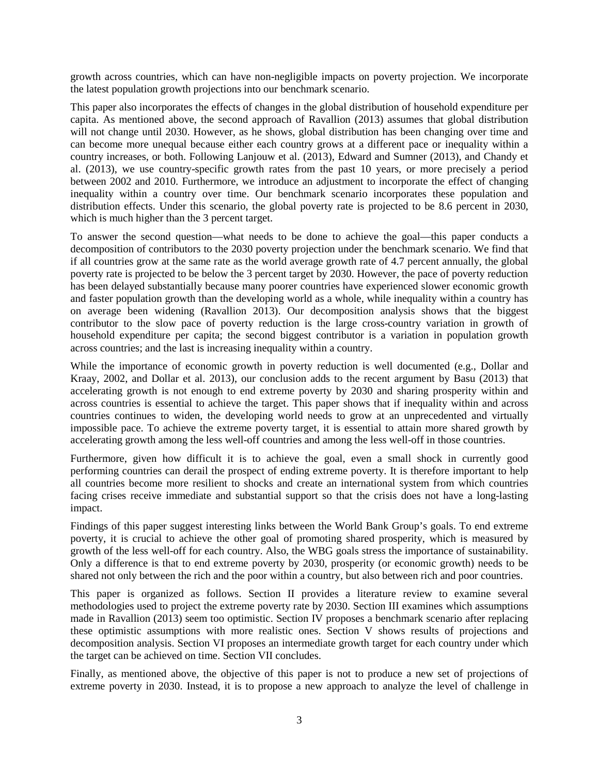growth across countries, which can have non-negligible impacts on poverty projection. We incorporate the latest population growth projections into our benchmark scenario.

This paper also incorporates the effects of changes in the global distribution of household expenditure per capita. As mentioned above, the second approach of Ravallion (2013) assumes that global distribution will not change until 2030. However, as he shows, global distribution has been changing over time and can become more unequal because either each country grows at a different pace or inequality within a country increases, or both. Following Lanjouw et al. (2013), Edward and Sumner (2013), and Chandy et al. (2013), we use country-specific growth rates from the past 10 years, or more precisely a period between 2002 and 2010. Furthermore, we introduce an adjustment to incorporate the effect of changing inequality within a country over time. Our benchmark scenario incorporates these population and distribution effects. Under this scenario, the global poverty rate is projected to be 8.6 percent in 2030, which is much higher than the 3 percent target.

To answer the second question—what needs to be done to achieve the goal—this paper conducts a decomposition of contributors to the 2030 poverty projection under the benchmark scenario. We find that if all countries grow at the same rate as the world average growth rate of 4.7 percent annually, the global poverty rate is projected to be below the 3 percent target by 2030. However, the pace of poverty reduction has been delayed substantially because many poorer countries have experienced slower economic growth and faster population growth than the developing world as a whole, while inequality within a country has on average been widening (Ravallion 2013). Our decomposition analysis shows that the biggest contributor to the slow pace of poverty reduction is the large cross-country variation in growth of household expenditure per capita; the second biggest contributor is a variation in population growth across countries; and the last is increasing inequality within a country.

While the importance of economic growth in poverty reduction is well documented (e.g., Dollar and Kraay, 2002, and Dollar et al. 2013), our conclusion adds to the recent argument by Basu (2013) that accelerating growth is not enough to end extreme poverty by 2030 and sharing prosperity within and across countries is essential to achieve the target. This paper shows that if inequality within and across countries continues to widen, the developing world needs to grow at an unprecedented and virtually impossible pace. To achieve the extreme poverty target, it is essential to attain more shared growth by accelerating growth among the less well-off countries and among the less well-off in those countries.

Furthermore, given how difficult it is to achieve the goal, even a small shock in currently good performing countries can derail the prospect of ending extreme poverty. It is therefore important to help all countries become more resilient to shocks and create an international system from which countries facing crises receive immediate and substantial support so that the crisis does not have a long-lasting impact.

Findings of this paper suggest interesting links between the World Bank Group's goals. To end extreme poverty, it is crucial to achieve the other goal of promoting shared prosperity, which is measured by growth of the less well-off for each country. Also, the WBG goals stress the importance of sustainability. Only a difference is that to end extreme poverty by 2030, prosperity (or economic growth) needs to be shared not only between the rich and the poor within a country, but also between rich and poor countries.

This paper is organized as follows. Section II provides a literature review to examine several methodologies used to project the extreme poverty rate by 2030. Section III examines which assumptions made in Ravallion (2013) seem too optimistic. Section IV proposes a benchmark scenario after replacing these optimistic assumptions with more realistic ones. Section V shows results of projections and decomposition analysis. Section VI proposes an intermediate growth target for each country under which the target can be achieved on time. Section VII concludes.

Finally, as mentioned above, the objective of this paper is not to produce a new set of projections of extreme poverty in 2030. Instead, it is to propose a new approach to analyze the level of challenge in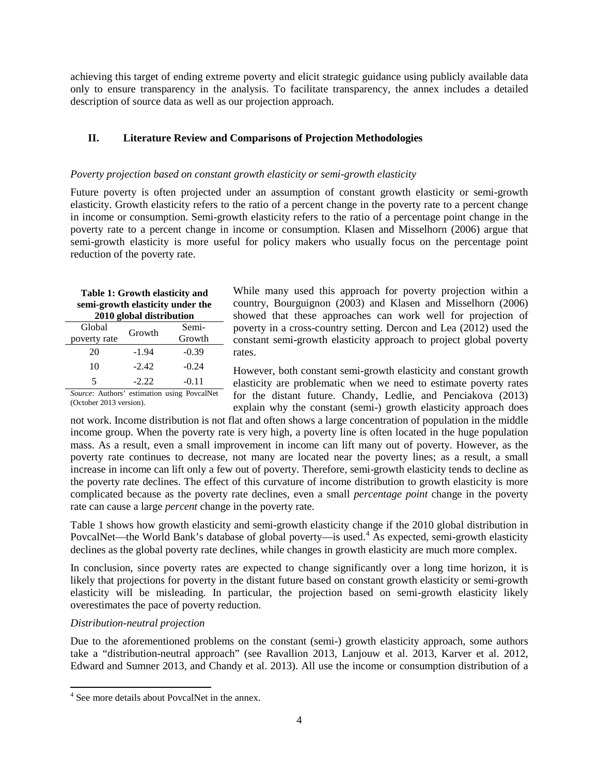achieving this target of ending extreme poverty and elicit strategic guidance using publicly available data only to ensure transparency in the analysis. To facilitate transparency, the annex includes a detailed description of source data as well as our projection approach.

### **II. Literature Review and Comparisons of Projection Methodologies**

#### *Poverty projection based on constant growth elasticity or semi-growth elasticity*

Future poverty is often projected under an assumption of constant growth elasticity or semi-growth elasticity. Growth elasticity refers to the ratio of a percent change in the poverty rate to a percent change in income or consumption. Semi-growth elasticity refers to the ratio of a percentage point change in the poverty rate to a percent change in income or consumption. Klasen and Misselhorn (2006) argue that semi-growth elasticity is more useful for policy makers who usually focus on the percentage point reduction of the poverty rate.

# **Table 1: Growth elasticity and semi-growth elasticity under the**

| 2010 global distribution |         |         |  |
|--------------------------|---------|---------|--|
| Global                   | Growth  | Semi-   |  |
| poverty rate             |         | Growth  |  |
| 20                       | -1.94   | $-0.39$ |  |
| 10                       | $-2.42$ | $-0.24$ |  |
| 5                        | $-2.22$ | $-0.11$ |  |

While many used this approach for poverty projection within a country, Bourguignon (2003) and Klasen and Misselhorn (2006) showed that these approaches can work well for projection of poverty in a cross-country setting. Dercon and Lea (2012) used the constant semi-growth elasticity approach to project global poverty rates.

*Source*: Authors' estimation using PovcalNet (October 2013 version).

However, both constant semi-growth elasticity and constant growth elasticity are problematic when we need to estimate poverty rates for the distant future. Chandy, Ledlie, and Penciakova (2013) explain why the constant (semi-) growth elasticity approach does

not work. Income distribution is not flat and often shows a large concentration of population in the middle income group. When the poverty rate is very high, a poverty line is often located in the huge population mass. As a result, even a small improvement in income can lift many out of poverty. However, as the poverty rate continues to decrease, not many are located near the poverty lines; as a result, a small increase in income can lift only a few out of poverty. Therefore, semi-growth elasticity tends to decline as the poverty rate declines. The effect of this curvature of income distribution to growth elasticity is more complicated because as the poverty rate declines, even a small *percentage point* change in the poverty rate can cause a large *percent* change in the poverty rate.

Table 1 shows how growth elasticity and semi-growth elasticity change if the 2010 global distribution in PovcalNet—the World Bank's database of global poverty—is used.[4](#page-5-0) As expected, semi-growth elasticity declines as the global poverty rate declines, while changes in growth elasticity are much more complex.

In conclusion, since poverty rates are expected to change significantly over a long time horizon, it is likely that projections for poverty in the distant future based on constant growth elasticity or semi-growth elasticity will be misleading. In particular, the projection based on semi-growth elasticity likely overestimates the pace of poverty reduction.

#### *Distribution-neutral projection*

 $\ddot{\phantom{a}}$ 

Due to the aforementioned problems on the constant (semi-) growth elasticity approach, some authors take a "distribution-neutral approach" (see Ravallion 2013, Lanjouw et al. 2013, Karver et al. 2012, Edward and Sumner 2013, and Chandy et al. 2013). All use the income or consumption distribution of a

<span id="page-5-0"></span><sup>4</sup> See more details about PovcalNet in the annex.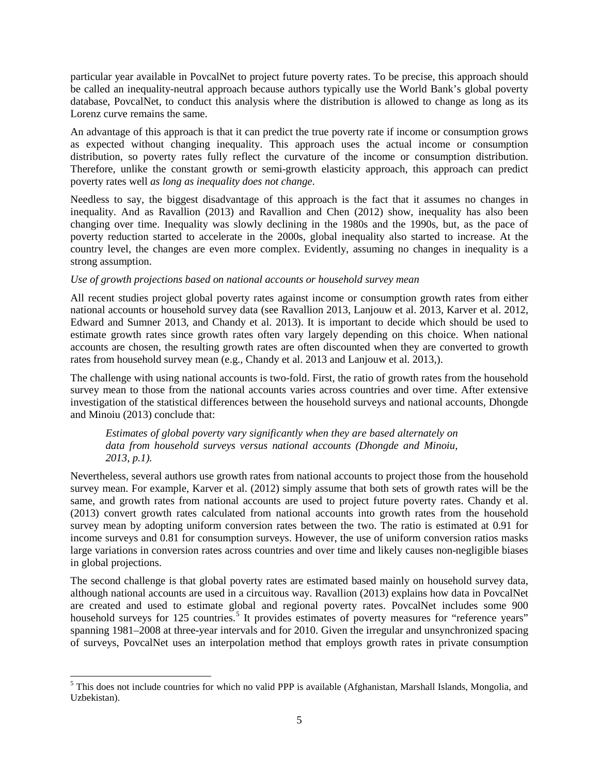particular year available in PovcalNet to project future poverty rates. To be precise, this approach should be called an inequality-neutral approach because authors typically use the World Bank's global poverty database, PovcalNet, to conduct this analysis where the distribution is allowed to change as long as its Lorenz curve remains the same.

An advantage of this approach is that it can predict the true poverty rate if income or consumption grows as expected without changing inequality. This approach uses the actual income or consumption distribution, so poverty rates fully reflect the curvature of the income or consumption distribution. Therefore, unlike the constant growth or semi-growth elasticity approach, this approach can predict poverty rates well *as long as inequality does not change*.

Needless to say, the biggest disadvantage of this approach is the fact that it assumes no changes in inequality. And as Ravallion (2013) and Ravallion and Chen (2012) show, inequality has also been changing over time. Inequality was slowly declining in the 1980s and the 1990s, but, as the pace of poverty reduction started to accelerate in the 2000s, global inequality also started to increase. At the country level, the changes are even more complex. Evidently, assuming no changes in inequality is a strong assumption.

#### *Use of growth projections based on national accounts or household survey mean*

All recent studies project global poverty rates against income or consumption growth rates from either national accounts or household survey data (see Ravallion 2013, Lanjouw et al. 2013, Karver et al. 2012, Edward and Sumner 2013, and Chandy et al. 2013). It is important to decide which should be used to estimate growth rates since growth rates often vary largely depending on this choice. When national accounts are chosen, the resulting growth rates are often discounted when they are converted to growth rates from household survey mean (e.g., Chandy et al. 2013 and Lanjouw et al. 2013,).

The challenge with using national accounts is two-fold. First, the ratio of growth rates from the household survey mean to those from the national accounts varies across countries and over time. After extensive investigation of the statistical differences between the household surveys and national accounts, Dhongde and Minoiu (2013) conclude that:

*Estimates of global poverty vary significantly when they are based alternately on data from household surveys versus national accounts (Dhongde and Minoiu, 2013, p.1).* 

Nevertheless, several authors use growth rates from national accounts to project those from the household survey mean. For example, Karver et al. (2012) simply assume that both sets of growth rates will be the same, and growth rates from national accounts are used to project future poverty rates. Chandy et al. (2013) convert growth rates calculated from national accounts into growth rates from the household survey mean by adopting uniform conversion rates between the two. The ratio is estimated at 0.91 for income surveys and 0.81 for consumption surveys. However, the use of uniform conversion ratios masks large variations in conversion rates across countries and over time and likely causes non-negligible biases in global projections.

The second challenge is that global poverty rates are estimated based mainly on household survey data, although national accounts are used in a circuitous way. Ravallion (2013) explains how data in PovcalNet are created and used to estimate global and regional poverty rates. PovcalNet includes some 900 household surveys for 12[5](#page-6-0) countries.<sup>5</sup> It provides estimates of poverty measures for "reference years" spanning 1981–2008 at three-year intervals and for 2010. Given the irregular and unsynchronized spacing of surveys, PovcalNet uses an interpolation method that employs growth rates in private consumption

<span id="page-6-0"></span> $\overline{a}$ <sup>5</sup> This does not include countries for which no valid PPP is available (Afghanistan, Marshall Islands, Mongolia, and Uzbekistan).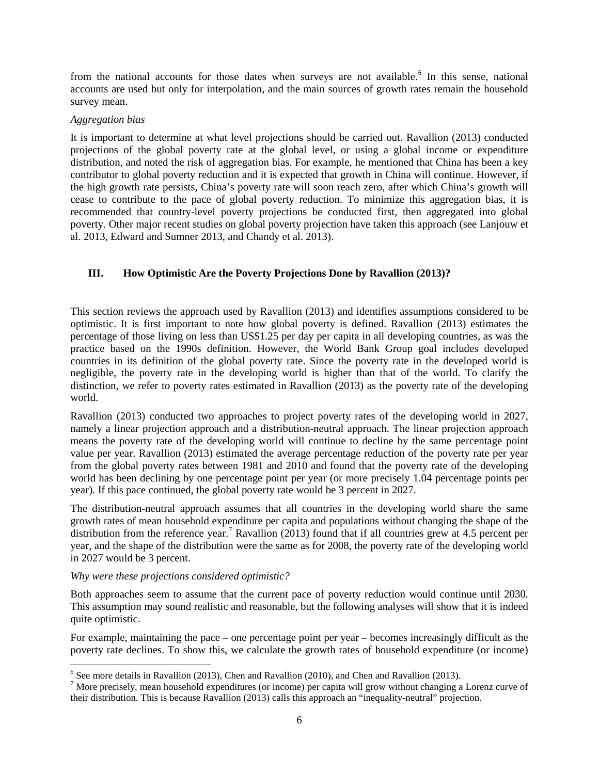from the national accounts for those dates when surveys are not available.<sup>[6](#page-7-0)</sup> In this sense, national accounts are used but only for interpolation, and the main sources of growth rates remain the household survey mean.

#### *Aggregation bias*

It is important to determine at what level projections should be carried out. Ravallion (2013) conducted projections of the global poverty rate at the global level, or using a global income or expenditure distribution, and noted the risk of aggregation bias. For example, he mentioned that China has been a key contributor to global poverty reduction and it is expected that growth in China will continue. However, if the high growth rate persists, China's poverty rate will soon reach zero, after which China's growth will cease to contribute to the pace of global poverty reduction. To minimize this aggregation bias, it is recommended that country-level poverty projections be conducted first, then aggregated into global poverty. Other major recent studies on global poverty projection have taken this approach (see Lanjouw et al. 2013, Edward and Sumner 2013, and Chandy et al. 2013).

## **III. How Optimistic Are the Poverty Projections Done by Ravallion (2013)?**

This section reviews the approach used by Ravallion (2013) and identifies assumptions considered to be optimistic. It is first important to note how global poverty is defined. Ravallion (2013) estimates the percentage of those living on less than US\$1.25 per day per capita in all developing countries, as was the practice based on the 1990s definition. However, the World Bank Group goal includes developed countries in its definition of the global poverty rate. Since the poverty rate in the developed world is negligible, the poverty rate in the developing world is higher than that of the world. To clarify the distinction, we refer to poverty rates estimated in Ravallion (2013) as the poverty rate of the developing world.

Ravallion (2013) conducted two approaches to project poverty rates of the developing world in 2027, namely a linear projection approach and a distribution-neutral approach. The linear projection approach means the poverty rate of the developing world will continue to decline by the same percentage point value per year. Ravallion (2013) estimated the average percentage reduction of the poverty rate per year from the global poverty rates between 1981 and 2010 and found that the poverty rate of the developing world has been declining by one percentage point per year (or more precisely 1.04 percentage points per year). If this pace continued, the global poverty rate would be 3 percent in 2027.

The distribution-neutral approach assumes that all countries in the developing world share the same growth rates of mean household expenditure per capita and populations without changing the shape of the distribution from the reference year.<sup>[7](#page-7-1)</sup> Ravallion (2013) found that if all countries grew at 4.5 percent per year, and the shape of the distribution were the same as for 2008, the poverty rate of the developing world in 2027 would be 3 percent.

#### *Why were these projections considered optimistic?*

Both approaches seem to assume that the current pace of poverty reduction would continue until 2030. This assumption may sound realistic and reasonable, but the following analyses will show that it is indeed quite optimistic.

For example, maintaining the pace – one percentage point per year – becomes increasingly difficult as the poverty rate declines. To show this, we calculate the growth rates of household expenditure (or income)

 $\overline{a}$  $<sup>6</sup>$  See more details in Ravallion (2013), Chen and Ravallion (2010), and Chen and Ravallion (2013).</sup>

<span id="page-7-1"></span><span id="page-7-0"></span> $<sup>7</sup>$  More precisely, mean household expenditures (or income) per capita will grow without changing a Lorenz curve of</sup> their distribution. This is because Ravallion (2013) calls this approach an "inequality-neutral" projection.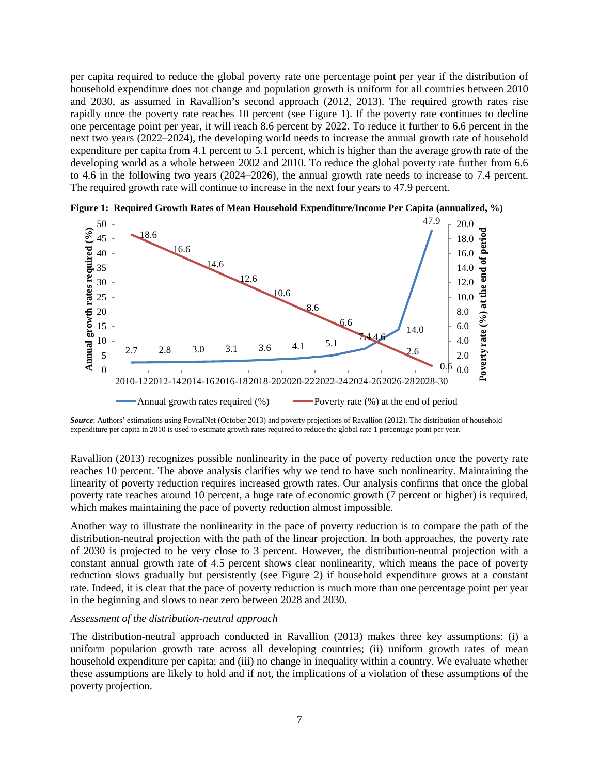per capita required to reduce the global poverty rate one percentage point per year if the distribution of household expenditure does not change and population growth is uniform for all countries between 2010 and 2030, as assumed in Ravallion's second approach (2012, 2013). The required growth rates rise rapidly once the poverty rate reaches 10 percent (see Figure 1). If the poverty rate continues to decline one percentage point per year, it will reach 8.6 percent by 2022. To reduce it further to 6.6 percent in the next two years (2022–2024), the developing world needs to increase the annual growth rate of household expenditure per capita from 4.1 percent to 5.1 percent, which is higher than the average growth rate of the developing world as a whole between 2002 and 2010. To reduce the global poverty rate further from 6.6 to 4.6 in the following two years (2024–2026), the annual growth rate needs to increase to 7.4 percent. The required growth rate will continue to increase in the next four years to 47.9 percent.



**Figure 1: Required Growth Rates of Mean Household Expenditure/Income Per Capita (annualized, %)** 

*Source*: Authors' estimations using PovcalNet (October 2013) and poverty projections of Ravallion (2012). The distribution of household expenditure per capita in 2010 is used to estimate growth rates required to reduce the global rate 1 percentage point per year.

Ravallion (2013) recognizes possible nonlinearity in the pace of poverty reduction once the poverty rate reaches 10 percent. The above analysis clarifies why we tend to have such nonlinearity. Maintaining the linearity of poverty reduction requires increased growth rates. Our analysis confirms that once the global poverty rate reaches around 10 percent, a huge rate of economic growth (7 percent or higher) is required, which makes maintaining the pace of poverty reduction almost impossible.

Another way to illustrate the nonlinearity in the pace of poverty reduction is to compare the path of the distribution-neutral projection with the path of the linear projection. In both approaches, the poverty rate of 2030 is projected to be very close to 3 percent. However, the distribution-neutral projection with a constant annual growth rate of 4.5 percent shows clear nonlinearity, which means the pace of poverty reduction slows gradually but persistently (see Figure 2) if household expenditure grows at a constant rate. Indeed, it is clear that the pace of poverty reduction is much more than one percentage point per year in the beginning and slows to near zero between 2028 and 2030.

#### *Assessment of the distribution-neutral approach*

The distribution-neutral approach conducted in Ravallion (2013) makes three key assumptions: (i) a uniform population growth rate across all developing countries; (ii) uniform growth rates of mean household expenditure per capita; and (iii) no change in inequality within a country. We evaluate whether these assumptions are likely to hold and if not, the implications of a violation of these assumptions of the poverty projection.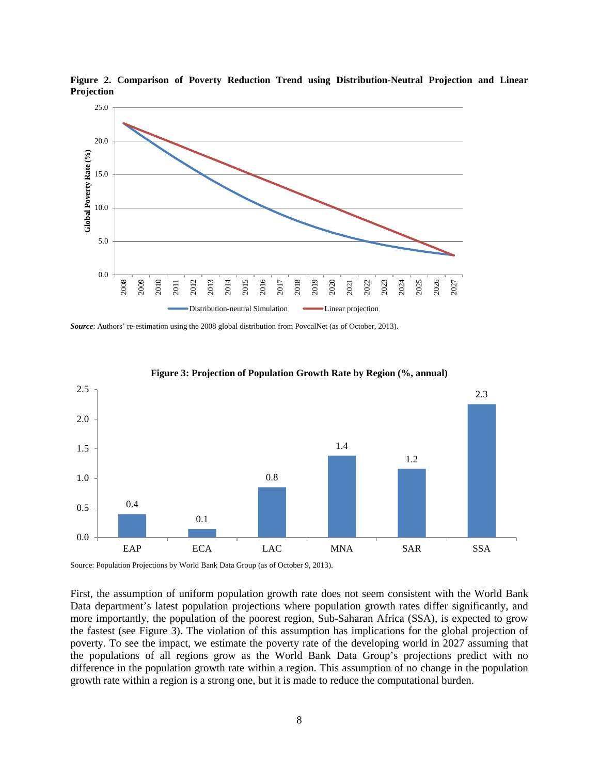

**Figure 2. Comparison of Poverty Reduction Trend using Distribution-Neutral Projection and Linear Projection**

*Source*: Authors' re-estimation using the 2008 global distribution from PovcalNet (as of October, 2013).



**Figure 3: Projection of Population Growth Rate by Region (%, annual)**

Source: Population Projections by World Bank Data Group (as of October 9, 2013).

First, the assumption of uniform population growth rate does not seem consistent with the World Bank Data department's latest population projections where population growth rates differ significantly, and more importantly, the population of the poorest region, Sub-Saharan Africa (SSA), is expected to grow the fastest (see Figure 3). The violation of this assumption has implications for the global projection of poverty. To see the impact, we estimate the poverty rate of the developing world in 2027 assuming that the populations of all regions grow as the World Bank Data Group's projections predict with no difference in the population growth rate within a region. This assumption of no change in the population growth rate within a region is a strong one, but it is made to reduce the computational burden.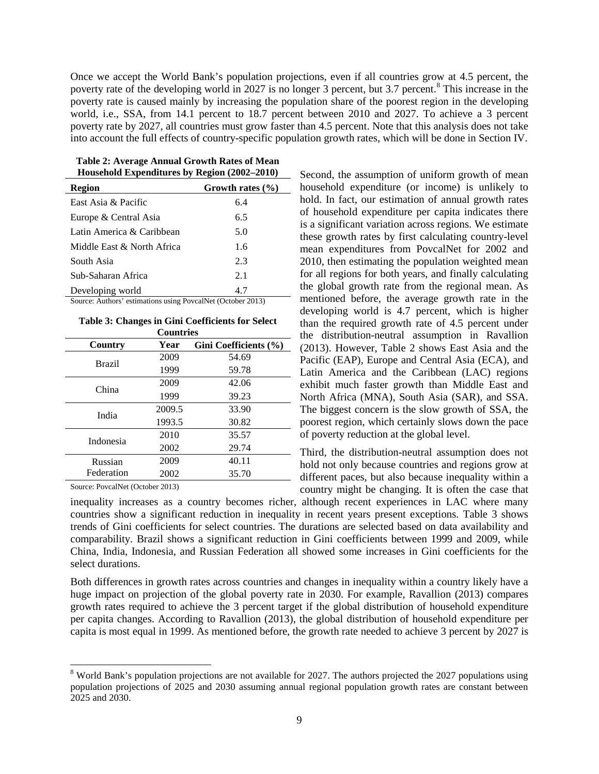Once we accept the World Bank's population projections, even if all countries grow at 4.5 percent, the poverty rate of the developing world in 2027 is no longer 3 percent, but 3.7 percent.<sup>[8](#page-10-0)</sup> This increase in the poverty rate is caused mainly by increasing the population share of the poorest region in the developing world, i.e., SSA, from 14.1 percent to 18.7 percent between 2010 and 2027. To achieve a 3 percent poverty rate by 2027, all countries must grow faster than 4.5 percent. Note that this analysis does not take into account the full effects of country-specific population growth rates, which will be done in Section IV.

**Table 2: Average Annual Growth Rates of Mean Household Expenditures by Region (2002–2010)**

| Region                          | Growth rates $(\% )$ |
|---------------------------------|----------------------|
| East Asia & Pacific             | 6.4                  |
| Europe & Central Asia           | 6.5                  |
| Latin America & Caribbean       | 5.0                  |
| Middle East & North Africa      | 1.6                  |
| South Asia                      | 2.3                  |
| Sub-Saharan Africa              | 2.1                  |
| Developing world<br>$\sim$<br>. | 4.7<br>$\mathbf{a}$  |

Source: Authors' estimations using PovcalNet (October 2013)

| Table 3: Changes in Gini Coefficients for Select |  |  |  |
|--------------------------------------------------|--|--|--|
| <b>Countries</b>                                 |  |  |  |

| Country       | Year   | Gini Coefficients (%) |
|---------------|--------|-----------------------|
| <b>Brazil</b> | 2009   | 54.69                 |
|               | 1999   | 59.78                 |
| China         | 2009   | 42.06                 |
|               | 1999   | 39.23                 |
| India         | 2009.5 | 33.90                 |
|               | 1993.5 | 30.82                 |
| Indonesia     | 2010   | 35.57                 |
|               | 2002   | 29.74                 |
| Russian       | 2009   | 40.11                 |
| Federation    | 2002   | 35.70                 |

Source: PovcalNet (October 2013)

 $\overline{a}$ 

Second, the assumption of uniform growth of mean household expenditure (or income) is unlikely to hold. In fact, our estimation of annual growth rates of household expenditure per capita indicates there is a significant variation across regions. We estimate these growth rates by first calculating country-level mean expenditures from PovcalNet for 2002 and 2010, then estimating the population weighted mean for all regions for both years, and finally calculating the global growth rate from the regional mean. As mentioned before, the average growth rate in the developing world is 4.7 percent, which is higher than the required growth rate of 4.5 percent under the distribution-neutral assumption in Ravallion (2013). However, Table 2 shows East Asia and the Pacific (EAP), Europe and Central Asia (ECA), and Latin America and the Caribbean (LAC) regions exhibit much faster growth than Middle East and North Africa (MNA), South Asia (SAR), and SSA. The biggest concern is the slow growth of SSA, the poorest region, which certainly slows down the pace of poverty reduction at the global level.

Third, the distribution-neutral assumption does not hold not only because countries and regions grow at different paces, but also because inequality within a country might be changing. It is often the case that

inequality increases as a country becomes richer, although recent experiences in LAC where many countries show a significant reduction in inequality in recent years present exceptions. Table 3 shows trends of Gini coefficients for select countries. The durations are selected based on data availability and comparability. Brazil shows a significant reduction in Gini coefficients between 1999 and 2009, while China, India, Indonesia, and Russian Federation all showed some increases in Gini coefficients for the select durations.

Both differences in growth rates across countries and changes in inequality within a country likely have a huge impact on projection of the global poverty rate in 2030. For example, Ravallion (2013) compares growth rates required to achieve the 3 percent target if the global distribution of household expenditure per capita changes. According to Ravallion (2013), the global distribution of household expenditure per capita is most equal in 1999. As mentioned before, the growth rate needed to achieve 3 percent by 2027 is

<span id="page-10-0"></span><sup>&</sup>lt;sup>8</sup> World Bank's population projections are not available for 2027. The authors projected the 2027 populations using population projections of 2025 and 2030 assuming annual regional population growth rates are constant between 2025 and 2030.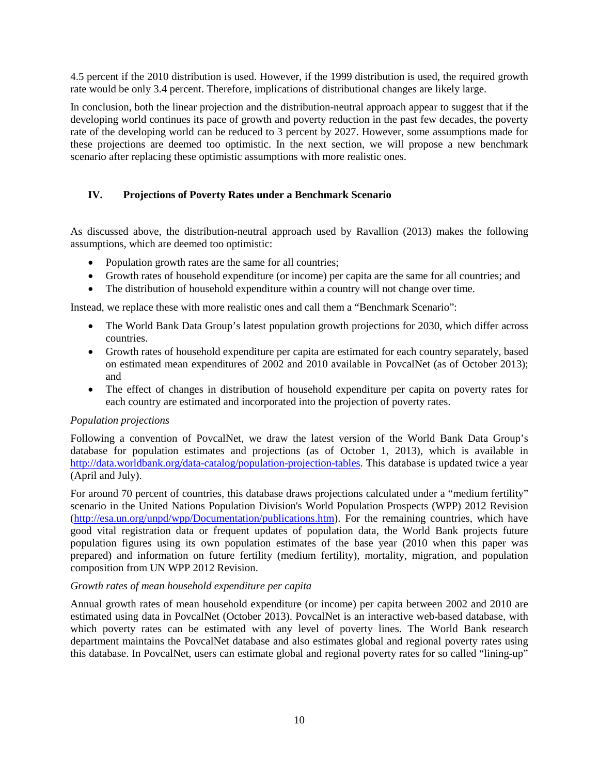4.5 percent if the 2010 distribution is used. However, if the 1999 distribution is used, the required growth rate would be only 3.4 percent. Therefore, implications of distributional changes are likely large.

In conclusion, both the linear projection and the distribution-neutral approach appear to suggest that if the developing world continues its pace of growth and poverty reduction in the past few decades, the poverty rate of the developing world can be reduced to 3 percent by 2027. However, some assumptions made for these projections are deemed too optimistic. In the next section, we will propose a new benchmark scenario after replacing these optimistic assumptions with more realistic ones.

### **IV. Projections of Poverty Rates under a Benchmark Scenario**

As discussed above, the distribution-neutral approach used by Ravallion (2013) makes the following assumptions, which are deemed too optimistic:

- Population growth rates are the same for all countries;
- Growth rates of household expenditure (or income) per capita are the same for all countries; and
- The distribution of household expenditure within a country will not change over time.

Instead, we replace these with more realistic ones and call them a "Benchmark Scenario":

- The World Bank Data Group's latest population growth projections for 2030, which differ across countries.
- Growth rates of household expenditure per capita are estimated for each country separately, based on estimated mean expenditures of 2002 and 2010 available in PovcalNet (as of October 2013); and
- The effect of changes in distribution of household expenditure per capita on poverty rates for each country are estimated and incorporated into the projection of poverty rates.

#### *Population projections*

Following a convention of PovcalNet, we draw the latest version of the World Bank Data Group's database for population estimates and projections (as of October 1, 2013), which is available in [http://data.worldbank.org/data-catalog/population-projection-tables.](http://data.worldbank.org/data-catalog/population-projection-tables) This database is updated twice a year (April and July).

For around 70 percent of countries, this database draws projections calculated under a "medium fertility" scenario in the United Nations Population Division's World Population Prospects (WPP) 2012 Revision [\(http://esa.un.org/unpd/wpp/Documentation/publications.htm\)](http://esa.un.org/unpd/wpp/Documentation/publications.htm). For the remaining countries, which have good vital registration data or frequent updates of population data, the World Bank projects future population figures using its own population estimates of the base year (2010 when this paper was prepared) and information on future fertility (medium fertility), mortality, migration, and population composition from UN WPP 2012 Revision.

#### *Growth rates of mean household expenditure per capita*

Annual growth rates of mean household expenditure (or income) per capita between 2002 and 2010 are estimated using data in PovcalNet (October 2013). PovcalNet is an interactive web-based database, with which poverty rates can be estimated with any level of poverty lines. The World Bank research department maintains the PovcalNet database and also estimates global and regional poverty rates using this database. In PovcalNet, users can estimate global and regional poverty rates for so called "lining-up"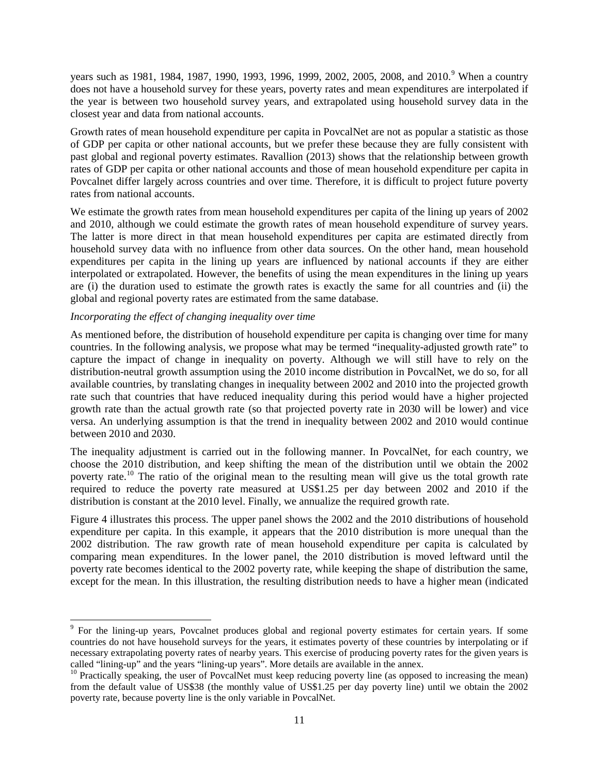years such as 1[9](#page-12-0)81, 1984, 1987, 1990, 1993, 1996, 1999, 2002, 2005, 2008, and 2010.<sup>9</sup> When a country does not have a household survey for these years, poverty rates and mean expenditures are interpolated if the year is between two household survey years, and extrapolated using household survey data in the closest year and data from national accounts.

Growth rates of mean household expenditure per capita in PovcalNet are not as popular a statistic as those of GDP per capita or other national accounts, but we prefer these because they are fully consistent with past global and regional poverty estimates. Ravallion (2013) shows that the relationship between growth rates of GDP per capita or other national accounts and those of mean household expenditure per capita in Povcalnet differ largely across countries and over time. Therefore, it is difficult to project future poverty rates from national accounts.

We estimate the growth rates from mean household expenditures per capita of the lining up years of 2002 and 2010, although we could estimate the growth rates of mean household expenditure of survey years. The latter is more direct in that mean household expenditures per capita are estimated directly from household survey data with no influence from other data sources. On the other hand, mean household expenditures per capita in the lining up years are influenced by national accounts if they are either interpolated or extrapolated. However, the benefits of using the mean expenditures in the lining up years are (i) the duration used to estimate the growth rates is exactly the same for all countries and (ii) the global and regional poverty rates are estimated from the same database.

#### *Incorporating the effect of changing inequality over time*

 $\ddot{\phantom{a}}$ 

As mentioned before, the distribution of household expenditure per capita is changing over time for many countries. In the following analysis, we propose what may be termed "inequality-adjusted growth rate" to capture the impact of change in inequality on poverty. Although we will still have to rely on the distribution-neutral growth assumption using the 2010 income distribution in PovcalNet, we do so, for all available countries, by translating changes in inequality between 2002 and 2010 into the projected growth rate such that countries that have reduced inequality during this period would have a higher projected growth rate than the actual growth rate (so that projected poverty rate in 2030 will be lower) and vice versa. An underlying assumption is that the trend in inequality between 2002 and 2010 would continue between 2010 and 2030.

The inequality adjustment is carried out in the following manner. In PovcalNet, for each country, we choose the 2010 distribution, and keep shifting the mean of the distribution until we obtain the 2002 poverty rate.[10](#page-12-1) The ratio of the original mean to the resulting mean will give us the total growth rate required to reduce the poverty rate measured at US\$1.25 per day between 2002 and 2010 if the distribution is constant at the 2010 level. Finally, we annualize the required growth rate.

Figure 4 illustrates this process. The upper panel shows the 2002 and the 2010 distributions of household expenditure per capita. In this example, it appears that the 2010 distribution is more unequal than the 2002 distribution. The raw growth rate of mean household expenditure per capita is calculated by comparing mean expenditures. In the lower panel, the 2010 distribution is moved leftward until the poverty rate becomes identical to the 2002 poverty rate, while keeping the shape of distribution the same, except for the mean. In this illustration, the resulting distribution needs to have a higher mean (indicated

<span id="page-12-0"></span><sup>&</sup>lt;sup>9</sup> For the lining-up years, Povcalnet produces global and regional poverty estimates for certain years. If some countries do not have household surveys for the years, it estimates poverty of these countries by interpolating or if necessary extrapolating poverty rates of nearby years. This exercise of producing poverty rates for the given years is called "lining-up" and the years "lining-up years". More details are available in the annex.

<span id="page-12-1"></span><sup>&</sup>lt;sup>10</sup> Practically speaking, the user of PovcalNet must keep reducing poverty line (as opposed to increasing the mean) from the default value of US\$38 (the monthly value of US\$1.25 per day poverty line) until we obtain the 2002 poverty rate, because poverty line is the only variable in PovcalNet.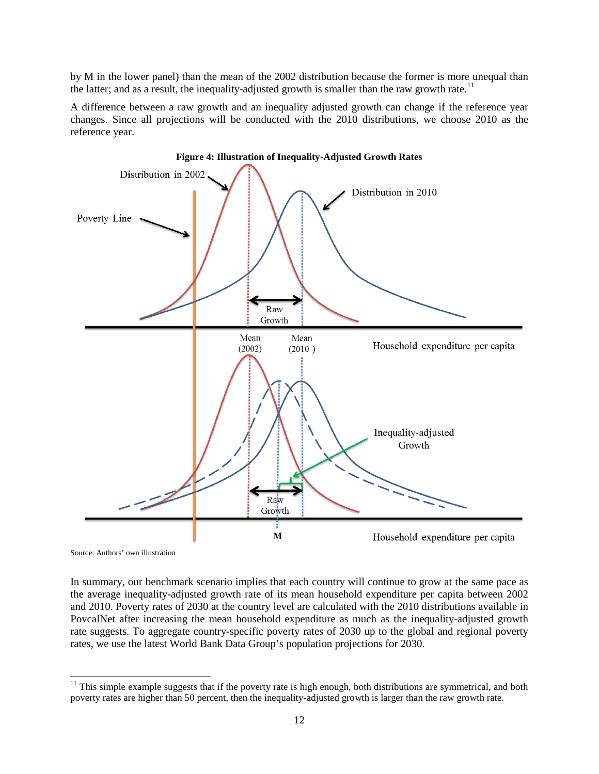by M in the lower panel) than the mean of the 2002 distribution because the former is more unequal than the latter; and as a result, the inequality-adjusted growth is smaller than the raw growth rate.<sup>[11](#page-13-0)</sup>

A difference between a raw growth and an inequality adjusted growth can change if the reference year changes. Since all projections will be conducted with the 2010 distributions, we choose 2010 as the reference year.



Source: Authors' own illustration

In summary, our benchmark scenario implies that each country will continue to grow at the same pace as the average inequality-adjusted growth rate of its mean household expenditure per capita between 2002 and 2010. Poverty rates of 2030 at the country level are calculated with the 2010 distributions available in PovcalNet after increasing the mean household expenditure as much as the inequality-adjusted growth rate suggests. To aggregate country-specific poverty rates of 2030 up to the global and regional poverty rates, we use the latest World Bank Data Group's population projections for 2030.

<span id="page-13-0"></span> $\overline{a}$  $11$  This simple example suggests that if the poverty rate is high enough, both distributions are symmetrical, and both poverty rates are higher than 50 percent, then the inequality-adjusted growth is larger than the raw growth rate.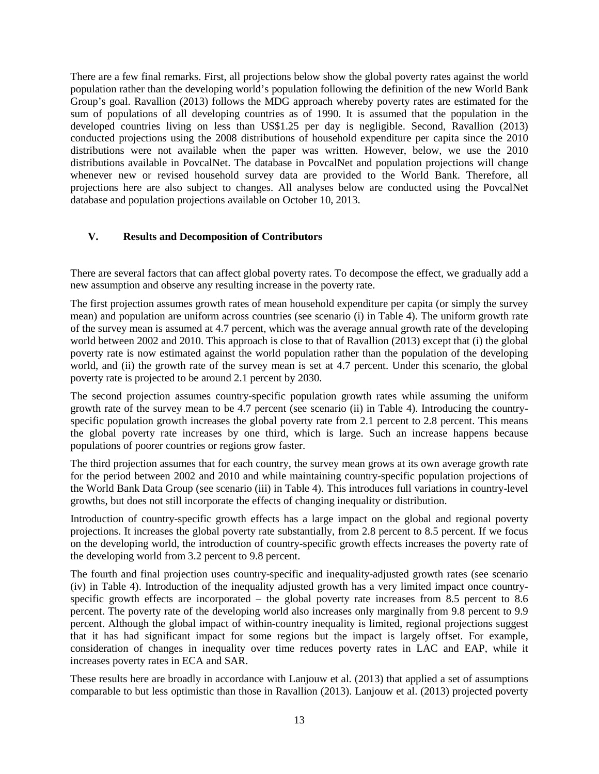There are a few final remarks. First, all projections below show the global poverty rates against the world population rather than the developing world's population following the definition of the new World Bank Group's goal. Ravallion (2013) follows the MDG approach whereby poverty rates are estimated for the sum of populations of all developing countries as of 1990. It is assumed that the population in the developed countries living on less than US\$1.25 per day is negligible. Second, Ravallion (2013) conducted projections using the 2008 distributions of household expenditure per capita since the 2010 distributions were not available when the paper was written. However, below, we use the 2010 distributions available in PovcalNet. The database in PovcalNet and population projections will change whenever new or revised household survey data are provided to the World Bank. Therefore, all projections here are also subject to changes. All analyses below are conducted using the PovcalNet database and population projections available on October 10, 2013.

### **V. Results and Decomposition of Contributors**

There are several factors that can affect global poverty rates. To decompose the effect, we gradually add a new assumption and observe any resulting increase in the poverty rate.

The first projection assumes growth rates of mean household expenditure per capita (or simply the survey mean) and population are uniform across countries (see scenario (i) in Table 4). The uniform growth rate of the survey mean is assumed at 4.7 percent, which was the average annual growth rate of the developing world between 2002 and 2010. This approach is close to that of Ravallion (2013) except that (i) the global poverty rate is now estimated against the world population rather than the population of the developing world, and (ii) the growth rate of the survey mean is set at 4.7 percent. Under this scenario, the global poverty rate is projected to be around 2.1 percent by 2030.

The second projection assumes country-specific population growth rates while assuming the uniform growth rate of the survey mean to be 4.7 percent (see scenario (ii) in Table 4). Introducing the countryspecific population growth increases the global poverty rate from 2.1 percent to 2.8 percent. This means the global poverty rate increases by one third, which is large. Such an increase happens because populations of poorer countries or regions grow faster.

The third projection assumes that for each country, the survey mean grows at its own average growth rate for the period between 2002 and 2010 and while maintaining country-specific population projections of the World Bank Data Group (see scenario (iii) in Table 4). This introduces full variations in country-level growths, but does not still incorporate the effects of changing inequality or distribution.

Introduction of country-specific growth effects has a large impact on the global and regional poverty projections. It increases the global poverty rate substantially, from 2.8 percent to 8.5 percent. If we focus on the developing world, the introduction of country-specific growth effects increases the poverty rate of the developing world from 3.2 percent to 9.8 percent.

The fourth and final projection uses country-specific and inequality-adjusted growth rates (see scenario (iv) in Table 4). Introduction of the inequality adjusted growth has a very limited impact once countryspecific growth effects are incorporated – the global poverty rate increases from 8.5 percent to 8.6 percent. The poverty rate of the developing world also increases only marginally from 9.8 percent to 9.9 percent. Although the global impact of within-country inequality is limited, regional projections suggest that it has had significant impact for some regions but the impact is largely offset. For example, consideration of changes in inequality over time reduces poverty rates in LAC and EAP, while it increases poverty rates in ECA and SAR.

These results here are broadly in accordance with Lanjouw et al. (2013) that applied a set of assumptions comparable to but less optimistic than those in Ravallion (2013). Lanjouw et al. (2013) projected poverty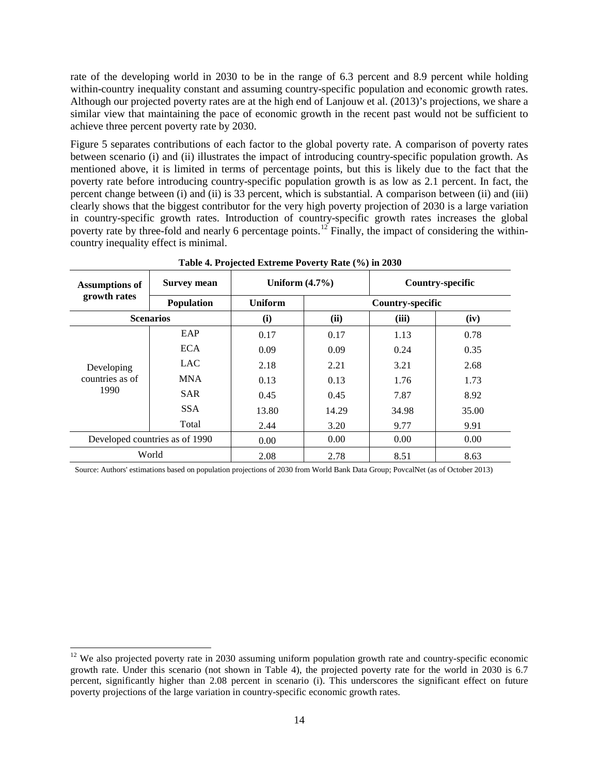rate of the developing world in 2030 to be in the range of 6.3 percent and 8.9 percent while holding within-country inequality constant and assuming country-specific population and economic growth rates. Although our projected poverty rates are at the high end of Lanjouw et al. (2013)'s projections, we share a similar view that maintaining the pace of economic growth in the recent past would not be sufficient to achieve three percent poverty rate by 2030.

Figure 5 separates contributions of each factor to the global poverty rate. A comparison of poverty rates between scenario (i) and (ii) illustrates the impact of introducing country-specific population growth. As mentioned above, it is limited in terms of percentage points, but this is likely due to the fact that the poverty rate before introducing country-specific population growth is as low as 2.1 percent. In fact, the percent change between (i) and (ii) is 33 percent, which is substantial. A comparison between (ii) and (iii) clearly shows that the biggest contributor for the very high poverty projection of 2030 is a large variation in country-specific growth rates. Introduction of country-specific growth rates increases the global poverty rate by three-fold and nearly 6 percentage points.<sup>[12](#page-15-0)</sup> Finally, the impact of considering the withincountry inequality effect is minimal.

| <b>Survey mean</b><br><b>Assumptions of</b> |                                | Uniform $(4.7\%)$ |                         | Country-specific |       |
|---------------------------------------------|--------------------------------|-------------------|-------------------------|------------------|-------|
| growth rates                                | Population                     | <b>Uniform</b>    | <b>Country-specific</b> |                  |       |
|                                             | <b>Scenarios</b>               | (i)               | (ii)                    | (iii)            | (iv)  |
|                                             | EAP                            | 0.17              | 0.17                    | 1.13             | 0.78  |
| Developing<br>countries as of<br>1990       | <b>ECA</b>                     | 0.09              | 0.09                    | 0.24             | 0.35  |
|                                             | <b>LAC</b>                     | 2.18              | 2.21                    | 3.21             | 2.68  |
|                                             | <b>MNA</b>                     | 0.13              | 0.13                    | 1.76             | 1.73  |
|                                             | <b>SAR</b>                     | 0.45              | 0.45                    | 7.87             | 8.92  |
|                                             | <b>SSA</b>                     | 13.80             | 14.29                   | 34.98            | 35.00 |
|                                             | Total                          | 2.44              | 3.20                    | 9.77             | 9.91  |
|                                             | Developed countries as of 1990 | 0.00              | 0.00                    | 0.00             | 0.00  |
|                                             | World                          | 2.08              | 2.78                    | 8.51             | 8.63  |

**Table 4. Projected Extreme Poverty Rate (%) in 2030**

Source: Authors' estimations based on population projections of 2030 from World Bank Data Group; PovcalNet (as of October 2013)

 $\overline{a}$ 

<span id="page-15-0"></span> $12$  We also projected poverty rate in 2030 assuming uniform population growth rate and country-specific economic growth rate. Under this scenario (not shown in Table 4), the projected poverty rate for the world in 2030 is 6.7 percent, significantly higher than 2.08 percent in scenario (i). This underscores the significant effect on future poverty projections of the large variation in country-specific economic growth rates.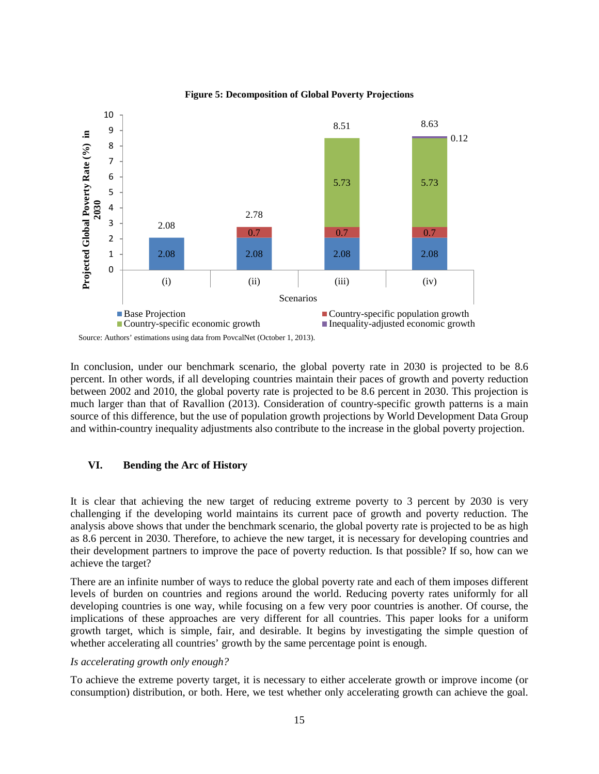

**Figure 5: Decomposition of Global Poverty Projections**

In conclusion, under our benchmark scenario, the global poverty rate in 2030 is projected to be 8.6 percent. In other words, if all developing countries maintain their paces of growth and poverty reduction between 2002 and 2010, the global poverty rate is projected to be 8.6 percent in 2030. This projection is much larger than that of Ravallion (2013). Consideration of country-specific growth patterns is a main source of this difference, but the use of population growth projections by World Development Data Group and within-country inequality adjustments also contribute to the increase in the global poverty projection.

#### **VI. Bending the Arc of History**

It is clear that achieving the new target of reducing extreme poverty to 3 percent by 2030 is very challenging if the developing world maintains its current pace of growth and poverty reduction. The analysis above shows that under the benchmark scenario, the global poverty rate is projected to be as high as 8.6 percent in 2030. Therefore, to achieve the new target, it is necessary for developing countries and their development partners to improve the pace of poverty reduction. Is that possible? If so, how can we achieve the target?

There are an infinite number of ways to reduce the global poverty rate and each of them imposes different levels of burden on countries and regions around the world. Reducing poverty rates uniformly for all developing countries is one way, while focusing on a few very poor countries is another. Of course, the implications of these approaches are very different for all countries. This paper looks for a uniform growth target, which is simple, fair, and desirable. It begins by investigating the simple question of whether accelerating all countries' growth by the same percentage point is enough.

#### *Is accelerating growth only enough?*

To achieve the extreme poverty target, it is necessary to either accelerate growth or improve income (or consumption) distribution, or both. Here, we test whether only accelerating growth can achieve the goal.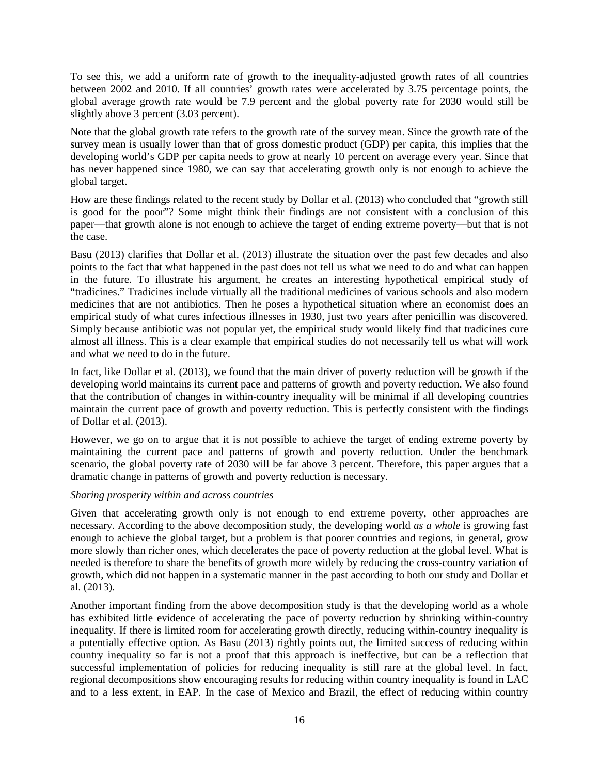To see this, we add a uniform rate of growth to the inequality-adjusted growth rates of all countries between 2002 and 2010. If all countries' growth rates were accelerated by 3.75 percentage points, the global average growth rate would be 7.9 percent and the global poverty rate for 2030 would still be slightly above 3 percent (3.03 percent).

Note that the global growth rate refers to the growth rate of the survey mean. Since the growth rate of the survey mean is usually lower than that of gross domestic product (GDP) per capita, this implies that the developing world's GDP per capita needs to grow at nearly 10 percent on average every year. Since that has never happened since 1980, we can say that accelerating growth only is not enough to achieve the global target.

How are these findings related to the recent study by Dollar et al. (2013) who concluded that "growth still is good for the poor"? Some might think their findings are not consistent with a conclusion of this paper—that growth alone is not enough to achieve the target of ending extreme poverty—but that is not the case.

Basu (2013) clarifies that Dollar et al. (2013) illustrate the situation over the past few decades and also points to the fact that what happened in the past does not tell us what we need to do and what can happen in the future. To illustrate his argument, he creates an interesting hypothetical empirical study of "tradicines." Tradicines include virtually all the traditional medicines of various schools and also modern medicines that are not antibiotics. Then he poses a hypothetical situation where an economist does an empirical study of what cures infectious illnesses in 1930, just two years after penicillin was discovered. Simply because antibiotic was not popular yet, the empirical study would likely find that tradicines cure almost all illness. This is a clear example that empirical studies do not necessarily tell us what will work and what we need to do in the future.

In fact, like Dollar et al. (2013), we found that the main driver of poverty reduction will be growth if the developing world maintains its current pace and patterns of growth and poverty reduction. We also found that the contribution of changes in within-country inequality will be minimal if all developing countries maintain the current pace of growth and poverty reduction. This is perfectly consistent with the findings of Dollar et al. (2013).

However, we go on to argue that it is not possible to achieve the target of ending extreme poverty by maintaining the current pace and patterns of growth and poverty reduction. Under the benchmark scenario, the global poverty rate of 2030 will be far above 3 percent. Therefore, this paper argues that a dramatic change in patterns of growth and poverty reduction is necessary.

#### *Sharing prosperity within and across countries*

Given that accelerating growth only is not enough to end extreme poverty, other approaches are necessary. According to the above decomposition study, the developing world *as a whole* is growing fast enough to achieve the global target, but a problem is that poorer countries and regions, in general, grow more slowly than richer ones, which decelerates the pace of poverty reduction at the global level. What is needed is therefore to share the benefits of growth more widely by reducing the cross-country variation of growth, which did not happen in a systematic manner in the past according to both our study and Dollar et al. (2013).

Another important finding from the above decomposition study is that the developing world as a whole has exhibited little evidence of accelerating the pace of poverty reduction by shrinking within-country inequality. If there is limited room for accelerating growth directly, reducing within-country inequality is a potentially effective option. As Basu (2013) rightly points out, the limited success of reducing within country inequality so far is not a proof that this approach is ineffective, but can be a reflection that successful implementation of policies for reducing inequality is still rare at the global level. In fact, regional decompositions show encouraging results for reducing within country inequality is found in LAC and to a less extent, in EAP. In the case of Mexico and Brazil, the effect of reducing within country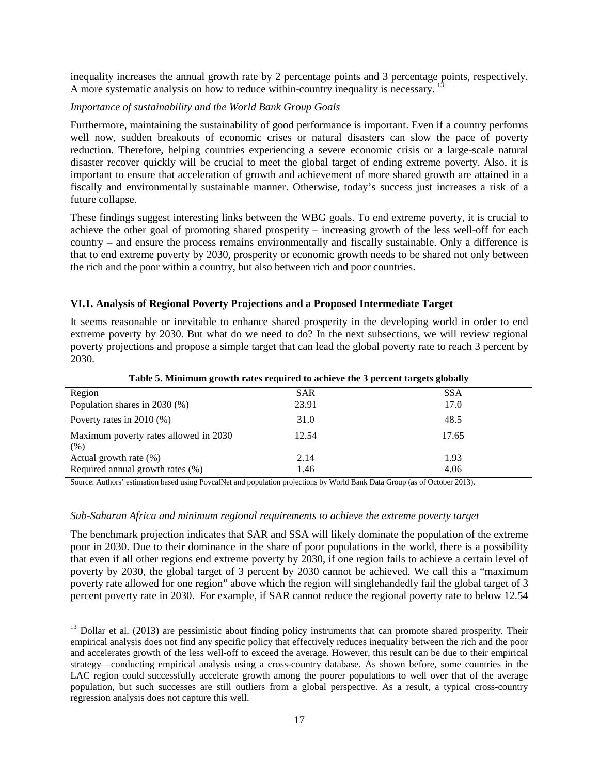inequality increases the annual growth rate by 2 percentage points and 3 percentage points, respectively. A more systematic analysis on how to reduce within-country inequality is necessary.

#### *Importance of sustainability and the World Bank Group Goals*

Furthermore, maintaining the sustainability of good performance is important. Even if a country performs well now, sudden breakouts of economic crises or natural disasters can slow the pace of poverty reduction. Therefore, helping countries experiencing a severe economic crisis or a large-scale natural disaster recover quickly will be crucial to meet the global target of ending extreme poverty. Also, it is important to ensure that acceleration of growth and achievement of more shared growth are attained in a fiscally and environmentally sustainable manner. Otherwise, today's success just increases a risk of a future collapse.

These findings suggest interesting links between the WBG goals. To end extreme poverty, it is crucial to achieve the other goal of promoting shared prosperity – increasing growth of the less well-off for each country – and ensure the process remains environmentally and fiscally sustainable. Only a difference is that to end extreme poverty by 2030, prosperity or economic growth needs to be shared not only between the rich and the poor within a country, but also between rich and poor countries.

### **VI.1. Analysis of Regional Poverty Projections and a Proposed Intermediate Target**

It seems reasonable or inevitable to enhance shared prosperity in the developing world in order to end extreme poverty by 2030. But what do we need to do? In the next subsections, we will review regional poverty projections and propose a simple target that can lead the global poverty rate to reach 3 percent by 2030.

| Region                                        | <b>SAR</b> | <b>SSA</b> |
|-----------------------------------------------|------------|------------|
| Population shares in $2030\,(%)$              | 23.91      | 17.0       |
| Poverty rates in $2010$ (%)                   | 31.0       | 48.5       |
| Maximum poverty rates allowed in 2030<br>(% ) | 12.54      | 17.65      |
| Actual growth rate $(\%)$                     | 2.14       | 1.93       |
| Required annual growth rates (%)              | 1.46       | 4.06       |

**Table 5. Minimum growth rates required to achieve the 3 percent targets globally**

Source: Authors' estimation based using PovcalNet and population projections by World Bank Data Group (as of October 2013).

#### *Sub-Saharan Africa and minimum regional requirements to achieve the extreme poverty target*

 $\ddot{\phantom{a}}$ 

The benchmark projection indicates that SAR and SSA will likely dominate the population of the extreme poor in 2030. Due to their dominance in the share of poor populations in the world, there is a possibility that even if all other regions end extreme poverty by 2030, if one region fails to achieve a certain level of poverty by 2030, the global target of 3 percent by 2030 cannot be achieved. We call this a "maximum poverty rate allowed for one region" above which the region will singlehandedly fail the global target of 3 percent poverty rate in 2030. For example, if SAR cannot reduce the regional poverty rate to below 12.54

<span id="page-18-0"></span><sup>&</sup>lt;sup>13</sup> Dollar et al. (2013) are pessimistic about finding policy instruments that can promote shared prosperity. Their empirical analysis does not find any specific policy that effectively reduces inequality between the rich and the poor and accelerates growth of the less well-off to exceed the average. However, this result can be due to their empirical strategy—conducting empirical analysis using a cross-country database. As shown before, some countries in the LAC region could successfully accelerate growth among the poorer populations to well over that of the average population, but such successes are still outliers from a global perspective. As a result, a typical cross-country regression analysis does not capture this well.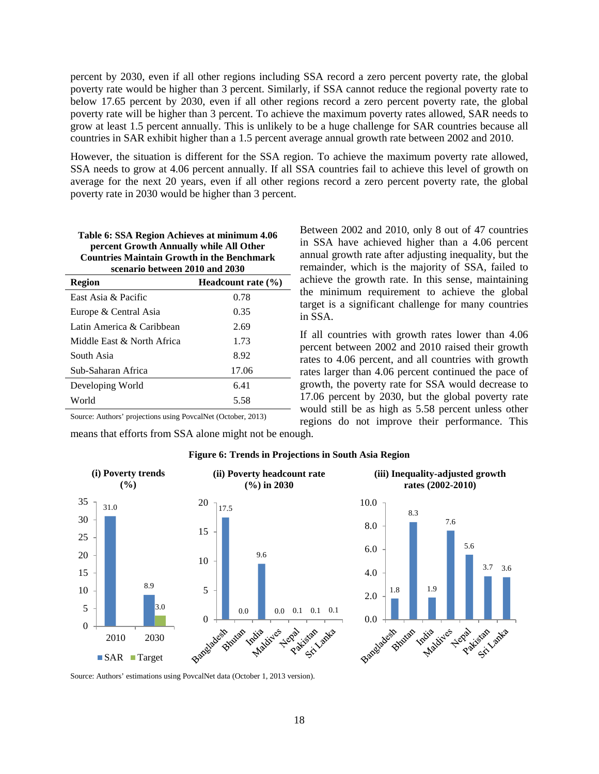percent by 2030, even if all other regions including SSA record a zero percent poverty rate, the global poverty rate would be higher than 3 percent. Similarly, if SSA cannot reduce the regional poverty rate to below 17.65 percent by 2030, even if all other regions record a zero percent poverty rate, the global poverty rate will be higher than 3 percent. To achieve the maximum poverty rates allowed, SAR needs to grow at least 1.5 percent annually. This is unlikely to be a huge challenge for SAR countries because all countries in SAR exhibit higher than a 1.5 percent average annual growth rate between 2002 and 2010.

However, the situation is different for the SSA region. To achieve the maximum poverty rate allowed, SSA needs to grow at 4.06 percent annually. If all SSA countries fail to achieve this level of growth on average for the next 20 years, even if all other regions record a zero percent poverty rate, the global poverty rate in 2030 would be higher than 3 percent.

| Table 6: SSA Region Achieves at minimum 4.06      |
|---------------------------------------------------|
| percent Growth Annually while All Other           |
| <b>Countries Maintain Growth in the Benchmark</b> |
| scenario between 2010 and 2030                    |

| Region                     | Headcount rate $(\% )$ |
|----------------------------|------------------------|
| East Asia & Pacific        | 0.78                   |
| Europe & Central Asia      | 0.35                   |
| Latin America & Caribbean  | 2.69                   |
| Middle East & North Africa | 1.73                   |
| South Asia                 | 8.92                   |
| Sub-Saharan Africa         | 17.06                  |
| Developing World           | 6.41                   |
| World                      | 5.58                   |

Between 2002 and 2010, only 8 out of 47 countries in SSA have achieved higher than a 4.06 percent annual growth rate after adjusting inequality, but the remainder, which is the majority of SSA, failed to achieve the growth rate. In this sense, maintaining the minimum requirement to achieve the global target is a significant challenge for many countries in SSA.

If all countries with growth rates lower than 4.06 percent between 2002 and 2010 raised their growth rates to 4.06 percent, and all countries with growth rates larger than 4.06 percent continued the pace of growth, the poverty rate for SSA would decrease to 17.06 percent by 2030, but the global poverty rate would still be as high as 5.58 percent unless other regions do not improve their performance. This

Source: Authors' projections using PovcalNet (October, 2013)

means that efforts from SSA alone might not be enough.



#### **Figure 6: Trends in Projections in South Asia Region**

Source: Authors' estimations using PovcalNet data (October 1, 2013 version).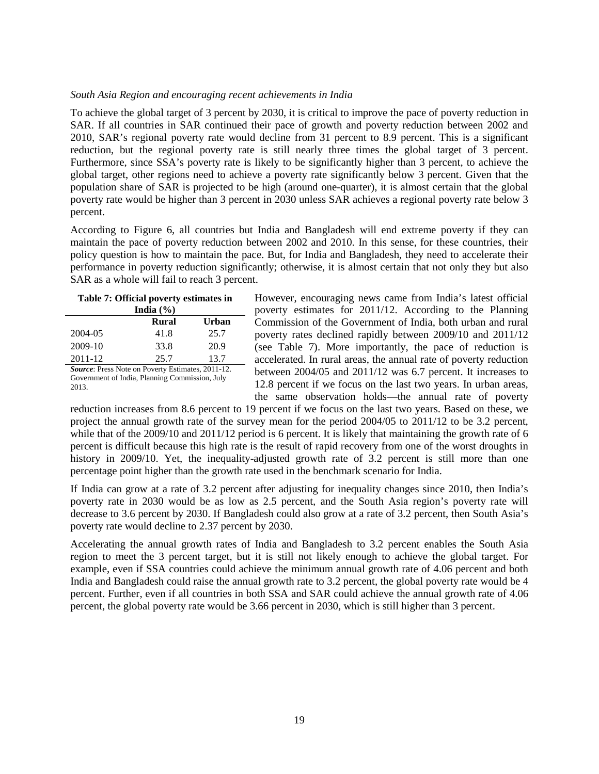#### *South Asia Region and encouraging recent achievements in India*

To achieve the global target of 3 percent by 2030, it is critical to improve the pace of poverty reduction in SAR. If all countries in SAR continued their pace of growth and poverty reduction between 2002 and 2010, SAR's regional poverty rate would decline from 31 percent to 8.9 percent. This is a significant reduction, but the regional poverty rate is still nearly three times the global target of 3 percent. Furthermore, since SSA's poverty rate is likely to be significantly higher than 3 percent, to achieve the global target, other regions need to achieve a poverty rate significantly below 3 percent. Given that the population share of SAR is projected to be high (around one-quarter), it is almost certain that the global poverty rate would be higher than 3 percent in 2030 unless SAR achieves a regional poverty rate below 3 percent.

According to Figure 6, all countries but India and Bangladesh will end extreme poverty if they can maintain the pace of poverty reduction between 2002 and 2010. In this sense, for these countries, their policy question is how to maintain the pace. But, for India and Bangladesh, they need to accelerate their performance in poverty reduction significantly; otherwise, it is almost certain that not only they but also SAR as a whole will fail to reach 3 percent.

# **Table 7: Official poverty estimates in India (%)**

|                                                  | Rural | Urban |  |
|--------------------------------------------------|-------|-------|--|
| 2004-05                                          | 41.8  | 25.7  |  |
| $2009-10$                                        | 33.8  | 20.9  |  |
| 2011-12                                          | 25.7  | 13.7  |  |
| Course: Pross Note on Doverty Estimates, 2011 12 |       |       |  |

*Source*: Press Note on Poverty Estimates, 2011-12. Government of India, Planning Commission, July 2013.

However, encouraging news came from India's latest official poverty estimates for 2011/12. According to the Planning Commission of the Government of India, both urban and rural poverty rates declined rapidly between 2009/10 and 2011/12 (see Table 7). More importantly, the pace of reduction is accelerated. In rural areas, the annual rate of poverty reduction between 2004/05 and 2011/12 was 6.7 percent. It increases to 12.8 percent if we focus on the last two years. In urban areas, the same observation holds—the annual rate of poverty

reduction increases from 8.6 percent to 19 percent if we focus on the last two years. Based on these, we project the annual growth rate of the survey mean for the period 2004/05 to 2011/12 to be 3.2 percent, while that of the 2009/10 and 2011/12 period is 6 percent. It is likely that maintaining the growth rate of 6 percent is difficult because this high rate is the result of rapid recovery from one of the worst droughts in history in 2009/10. Yet, the inequality-adjusted growth rate of 3.2 percent is still more than one percentage point higher than the growth rate used in the benchmark scenario for India.

If India can grow at a rate of 3.2 percent after adjusting for inequality changes since 2010, then India's poverty rate in 2030 would be as low as 2.5 percent, and the South Asia region's poverty rate will decrease to 3.6 percent by 2030. If Bangladesh could also grow at a rate of 3.2 percent, then South Asia's poverty rate would decline to 2.37 percent by 2030.

Accelerating the annual growth rates of India and Bangladesh to 3.2 percent enables the South Asia region to meet the 3 percent target, but it is still not likely enough to achieve the global target. For example, even if SSA countries could achieve the minimum annual growth rate of 4.06 percent and both India and Bangladesh could raise the annual growth rate to 3.2 percent, the global poverty rate would be 4 percent. Further, even if all countries in both SSA and SAR could achieve the annual growth rate of 4.06 percent, the global poverty rate would be 3.66 percent in 2030, which is still higher than 3 percent.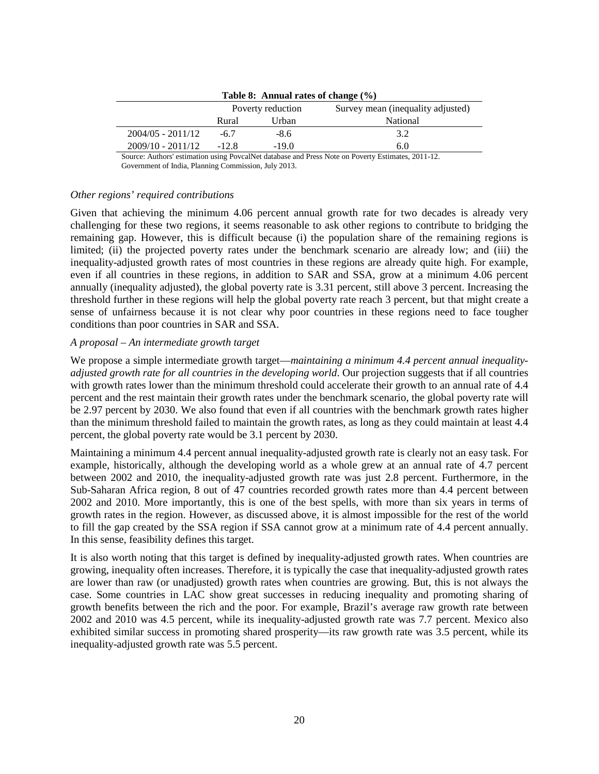| Table 8: Annual rates of change (%) |                   |         |                                   |
|-------------------------------------|-------------------|---------|-----------------------------------|
|                                     | Poverty reduction |         | Survey mean (inequality adjusted) |
|                                     | Rural             | Urban   | National                          |
| $2004/05 - 2011/12$                 | -67               | $-8.6$  | 3.2                               |
| $2009/10 - 2011/12$                 | $-12.8$           | $-19.0$ | 6.0                               |

**Table 8: Annual rates of change (%)**

Source: Authors' estimation using PovcalNet database and Press Note on Poverty Estimates, 2011-12. Government of India, Planning Commission, July 2013.

#### *Other regions' required contributions*

Given that achieving the minimum 4.06 percent annual growth rate for two decades is already very challenging for these two regions, it seems reasonable to ask other regions to contribute to bridging the remaining gap. However, this is difficult because (i) the population share of the remaining regions is limited; (ii) the projected poverty rates under the benchmark scenario are already low; and (iii) the inequality-adjusted growth rates of most countries in these regions are already quite high. For example, even if all countries in these regions, in addition to SAR and SSA, grow at a minimum 4.06 percent annually (inequality adjusted), the global poverty rate is 3.31 percent, still above 3 percent. Increasing the threshold further in these regions will help the global poverty rate reach 3 percent, but that might create a sense of unfairness because it is not clear why poor countries in these regions need to face tougher conditions than poor countries in SAR and SSA.

#### *A proposal – An intermediate growth target*

We propose a simple intermediate growth target—*maintaining a minimum 4.4 percent annual inequalityadjusted growth rate for all countries in the developing world*. Our projection suggests that if all countries with growth rates lower than the minimum threshold could accelerate their growth to an annual rate of 4.4 percent and the rest maintain their growth rates under the benchmark scenario, the global poverty rate will be 2.97 percent by 2030. We also found that even if all countries with the benchmark growth rates higher than the minimum threshold failed to maintain the growth rates, as long as they could maintain at least 4.4 percent, the global poverty rate would be 3.1 percent by 2030.

Maintaining a minimum 4.4 percent annual inequality-adjusted growth rate is clearly not an easy task. For example, historically, although the developing world as a whole grew at an annual rate of 4.7 percent between 2002 and 2010, the inequality-adjusted growth rate was just 2.8 percent. Furthermore, in the Sub-Saharan Africa region, 8 out of 47 countries recorded growth rates more than 4.4 percent between 2002 and 2010. More importantly, this is one of the best spells, with more than six years in terms of growth rates in the region. However, as discussed above, it is almost impossible for the rest of the world to fill the gap created by the SSA region if SSA cannot grow at a minimum rate of 4.4 percent annually. In this sense, feasibility defines this target.

It is also worth noting that this target is defined by inequality-adjusted growth rates. When countries are growing, inequality often increases. Therefore, it is typically the case that inequality-adjusted growth rates are lower than raw (or unadjusted) growth rates when countries are growing. But, this is not always the case. Some countries in LAC show great successes in reducing inequality and promoting sharing of growth benefits between the rich and the poor. For example, Brazil's average raw growth rate between 2002 and 2010 was 4.5 percent, while its inequality-adjusted growth rate was 7.7 percent. Mexico also exhibited similar success in promoting shared prosperity—its raw growth rate was 3.5 percent, while its inequality-adjusted growth rate was 5.5 percent.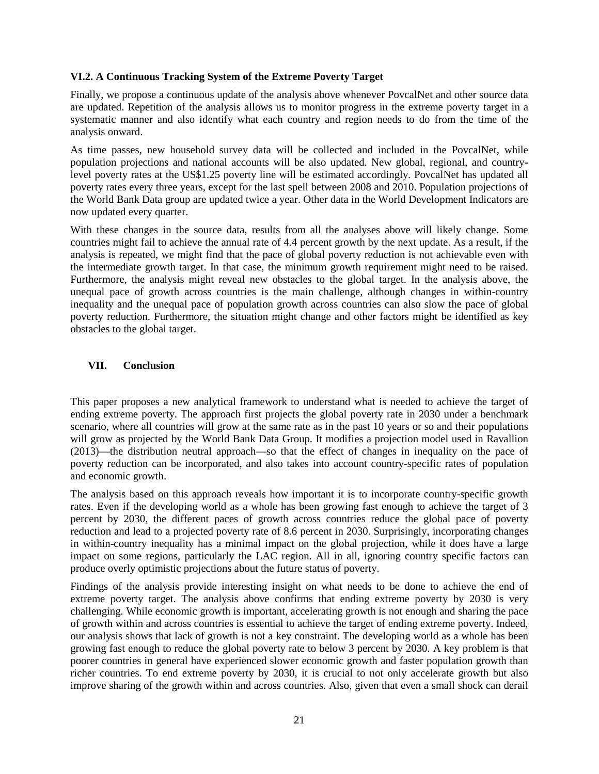#### **VI.2. A Continuous Tracking System of the Extreme Poverty Target**

Finally, we propose a continuous update of the analysis above whenever PovcalNet and other source data are updated. Repetition of the analysis allows us to monitor progress in the extreme poverty target in a systematic manner and also identify what each country and region needs to do from the time of the analysis onward.

As time passes, new household survey data will be collected and included in the PovcalNet, while population projections and national accounts will be also updated. New global, regional, and countrylevel poverty rates at the US\$1.25 poverty line will be estimated accordingly. PovcalNet has updated all poverty rates every three years, except for the last spell between 2008 and 2010. Population projections of the World Bank Data group are updated twice a year. Other data in the World Development Indicators are now updated every quarter.

With these changes in the source data, results from all the analyses above will likely change. Some countries might fail to achieve the annual rate of 4.4 percent growth by the next update. As a result, if the analysis is repeated, we might find that the pace of global poverty reduction is not achievable even with the intermediate growth target. In that case, the minimum growth requirement might need to be raised. Furthermore, the analysis might reveal new obstacles to the global target. In the analysis above, the unequal pace of growth across countries is the main challenge, although changes in within-country inequality and the unequal pace of population growth across countries can also slow the pace of global poverty reduction. Furthermore, the situation might change and other factors might be identified as key obstacles to the global target.

### **VII. Conclusion**

This paper proposes a new analytical framework to understand what is needed to achieve the target of ending extreme poverty. The approach first projects the global poverty rate in 2030 under a benchmark scenario, where all countries will grow at the same rate as in the past 10 years or so and their populations will grow as projected by the World Bank Data Group. It modifies a projection model used in Ravallion (2013)—the distribution neutral approach—so that the effect of changes in inequality on the pace of poverty reduction can be incorporated, and also takes into account country-specific rates of population and economic growth.

The analysis based on this approach reveals how important it is to incorporate country-specific growth rates. Even if the developing world as a whole has been growing fast enough to achieve the target of 3 percent by 2030, the different paces of growth across countries reduce the global pace of poverty reduction and lead to a projected poverty rate of 8.6 percent in 2030. Surprisingly, incorporating changes in within-country inequality has a minimal impact on the global projection, while it does have a large impact on some regions, particularly the LAC region. All in all, ignoring country specific factors can produce overly optimistic projections about the future status of poverty.

Findings of the analysis provide interesting insight on what needs to be done to achieve the end of extreme poverty target. The analysis above confirms that ending extreme poverty by 2030 is very challenging. While economic growth is important, accelerating growth is not enough and sharing the pace of growth within and across countries is essential to achieve the target of ending extreme poverty. Indeed, our analysis shows that lack of growth is not a key constraint. The developing world as a whole has been growing fast enough to reduce the global poverty rate to below 3 percent by 2030. A key problem is that poorer countries in general have experienced slower economic growth and faster population growth than richer countries. To end extreme poverty by 2030, it is crucial to not only accelerate growth but also improve sharing of the growth within and across countries. Also, given that even a small shock can derail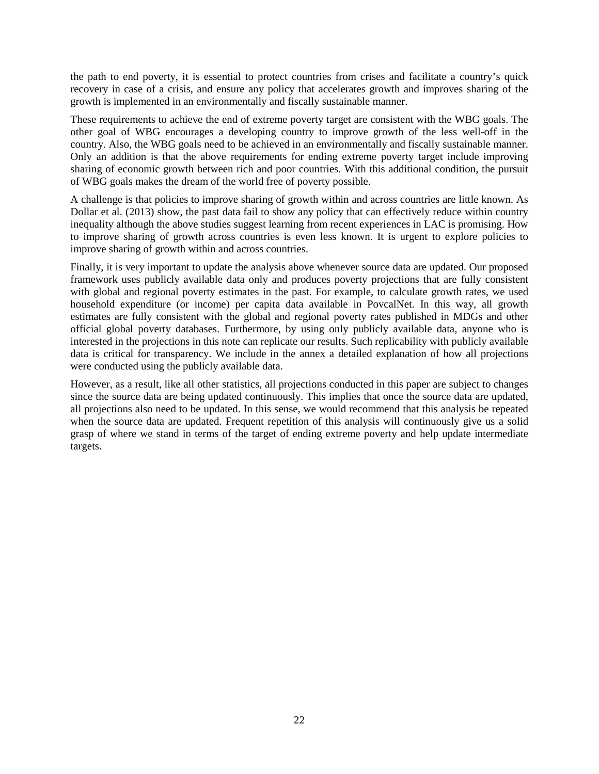the path to end poverty, it is essential to protect countries from crises and facilitate a country's quick recovery in case of a crisis, and ensure any policy that accelerates growth and improves sharing of the growth is implemented in an environmentally and fiscally sustainable manner.

These requirements to achieve the end of extreme poverty target are consistent with the WBG goals. The other goal of WBG encourages a developing country to improve growth of the less well-off in the country. Also, the WBG goals need to be achieved in an environmentally and fiscally sustainable manner. Only an addition is that the above requirements for ending extreme poverty target include improving sharing of economic growth between rich and poor countries. With this additional condition, the pursuit of WBG goals makes the dream of the world free of poverty possible.

A challenge is that policies to improve sharing of growth within and across countries are little known. As Dollar et al. (2013) show, the past data fail to show any policy that can effectively reduce within country inequality although the above studies suggest learning from recent experiences in LAC is promising. How to improve sharing of growth across countries is even less known. It is urgent to explore policies to improve sharing of growth within and across countries.

Finally, it is very important to update the analysis above whenever source data are updated. Our proposed framework uses publicly available data only and produces poverty projections that are fully consistent with global and regional poverty estimates in the past. For example, to calculate growth rates, we used household expenditure (or income) per capita data available in PovcalNet. In this way, all growth estimates are fully consistent with the global and regional poverty rates published in MDGs and other official global poverty databases. Furthermore, by using only publicly available data, anyone who is interested in the projections in this note can replicate our results. Such replicability with publicly available data is critical for transparency. We include in the annex a detailed explanation of how all projections were conducted using the publicly available data.

However, as a result, like all other statistics, all projections conducted in this paper are subject to changes since the source data are being updated continuously. This implies that once the source data are updated, all projections also need to be updated. In this sense, we would recommend that this analysis be repeated when the source data are updated. Frequent repetition of this analysis will continuously give us a solid grasp of where we stand in terms of the target of ending extreme poverty and help update intermediate targets.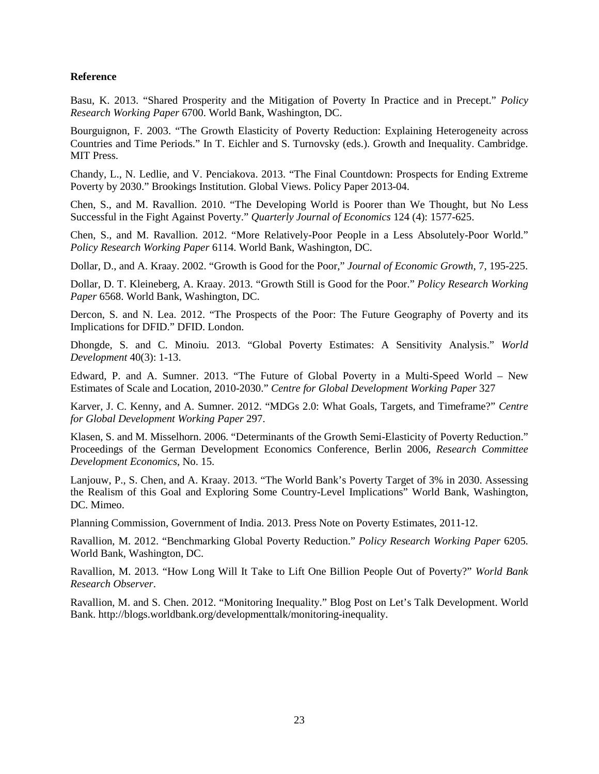#### **Reference**

Basu, K. 2013. "Shared Prosperity and the Mitigation of Poverty In Practice and in Precept." *Policy Research Working Paper* 6700. World Bank, Washington, DC.

Bourguignon, F. 2003. "The Growth Elasticity of Poverty Reduction: Explaining Heterogeneity across Countries and Time Periods." In T. Eichler and S. Turnovsky (eds.). Growth and Inequality. Cambridge. MIT Press.

Chandy, L., N. Ledlie, and V. Penciakova. 2013. "The Final Countdown: Prospects for Ending Extreme Poverty by 2030." Brookings Institution. Global Views. Policy Paper 2013-04.

Chen, S., and M. Ravallion. 2010. "The Developing World is Poorer than We Thought, but No Less Successful in the Fight Against Poverty." *Quarterly Journal of Economics* 124 (4): 1577-625.

Chen, S., and M. Ravallion. 2012. "More Relatively-Poor People in a Less Absolutely-Poor World." *Policy Research Working Paper* 6114. World Bank, Washington, DC.

Dollar, D., and A. Kraay. 2002. "Growth is Good for the Poor," *Journal of Economic Growth*, 7, 195-225.

Dollar, D. T. Kleineberg, A. Kraay. 2013. "Growth Still is Good for the Poor." *Policy Research Working Paper* 6568. World Bank, Washington, DC.

Dercon, S. and N. Lea. 2012. "The Prospects of the Poor: The Future Geography of Poverty and its Implications for DFID." DFID. London.

Dhongde, S. and C. Minoiu. 2013. "Global Poverty Estimates: A Sensitivity Analysis." *World Development* 40(3): 1-13.

Edward, P. and A. Sumner. 2013. "The Future of Global Poverty in a Multi-Speed World – New Estimates of Scale and Location, 2010-2030." *Centre for Global Development Working Paper* 327

Karver, J. C. Kenny, and A. Sumner. 2012. "MDGs 2.0: What Goals, Targets, and Timeframe?" *Centre for Global Development Working Paper* 297.

Klasen, S. and M. Misselhorn. 2006. "Determinants of the Growth Semi-Elasticity of Poverty Reduction." Proceedings of the German Development Economics Conference, Berlin 2006, *Research Committee Development Economics*, No. 15.

Lanjouw, P., S. Chen, and A. Kraay. 2013. "The World Bank's Poverty Target of 3% in 2030. Assessing the Realism of this Goal and Exploring Some Country-Level Implications" World Bank, Washington, DC. Mimeo.

Planning Commission, Government of India. 2013. Press Note on Poverty Estimates, 2011-12.

Ravallion, M. 2012. "Benchmarking Global Poverty Reduction." *Policy Research Working Paper* 6205. World Bank, Washington, DC.

Ravallion, M. 2013. "How Long Will It Take to Lift One Billion People Out of Poverty?" *World Bank Research Observer*.

Ravallion, M. and S. Chen. 2012. "Monitoring Inequality." Blog Post on Let's Talk Development. World Bank. http://blogs.worldbank.org/developmenttalk/monitoring-inequality.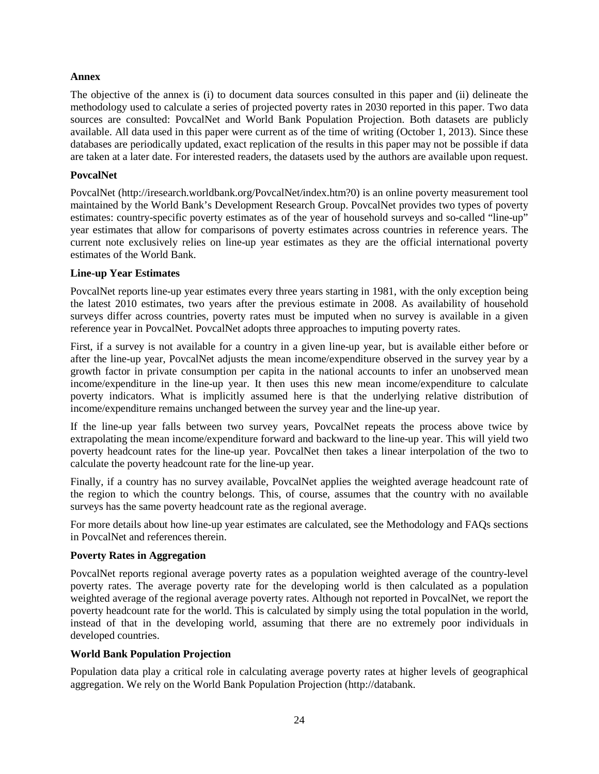#### **Annex**

The objective of the annex is (i) to document data sources consulted in this paper and (ii) delineate the methodology used to calculate a series of projected poverty rates in 2030 reported in this paper. Two data sources are consulted: PovcalNet and World Bank Population Projection. Both datasets are publicly available. All data used in this paper were current as of the time of writing (October 1, 2013). Since these databases are periodically updated, exact replication of the results in this paper may not be possible if data are taken at a later date. For interested readers, the datasets used by the authors are available upon request.

#### **PovcalNet**

PovcalNet (http://iresearch.worldbank.org/PovcalNet/index.htm?0) is an online poverty measurement tool maintained by the World Bank's Development Research Group. PovcalNet provides two types of poverty estimates: country-specific poverty estimates as of the year of household surveys and so-called "line-up" year estimates that allow for comparisons of poverty estimates across countries in reference years. The current note exclusively relies on line-up year estimates as they are the official international poverty estimates of the World Bank.

#### **Line-up Year Estimates**

PovcalNet reports line-up year estimates every three years starting in 1981, with the only exception being the latest 2010 estimates, two years after the previous estimate in 2008. As availability of household surveys differ across countries, poverty rates must be imputed when no survey is available in a given reference year in PovcalNet. PovcalNet adopts three approaches to imputing poverty rates.

First, if a survey is not available for a country in a given line-up year, but is available either before or after the line-up year, PovcalNet adjusts the mean income/expenditure observed in the survey year by a growth factor in private consumption per capita in the national accounts to infer an unobserved mean income/expenditure in the line-up year. It then uses this new mean income/expenditure to calculate poverty indicators. What is implicitly assumed here is that the underlying relative distribution of income/expenditure remains unchanged between the survey year and the line-up year.

If the line-up year falls between two survey years, PovcalNet repeats the process above twice by extrapolating the mean income/expenditure forward and backward to the line-up year. This will yield two poverty headcount rates for the line-up year. PovcalNet then takes a linear interpolation of the two to calculate the poverty headcount rate for the line-up year.

Finally, if a country has no survey available, PovcalNet applies the weighted average headcount rate of the region to which the country belongs. This, of course, assumes that the country with no available surveys has the same poverty headcount rate as the regional average.

For more details about how line-up year estimates are calculated, see the Methodology and FAQs sections in PovcalNet and references therein.

#### **Poverty Rates in Aggregation**

PovcalNet reports regional average poverty rates as a population weighted average of the country-level poverty rates. The average poverty rate for the developing world is then calculated as a population weighted average of the regional average poverty rates. Although not reported in PovcalNet, we report the poverty headcount rate for the world. This is calculated by simply using the total population in the world, instead of that in the developing world, assuming that there are no extremely poor individuals in developed countries.

#### **World Bank Population Projection**

Population data play a critical role in calculating average poverty rates at higher levels of geographical aggregation. We rely on the World Bank Population Projection (http://databank.